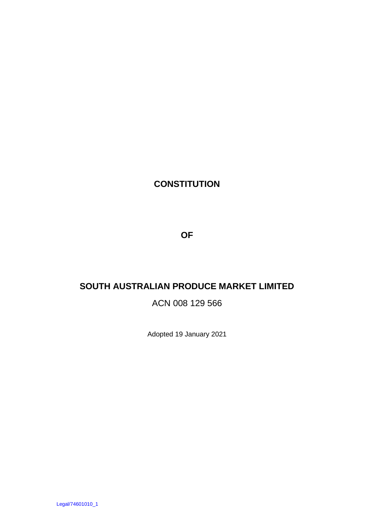# **CONSTITUTION**

**OF**

# **SOUTH AUSTRALIAN PRODUCE MARKET LIMITED**

# ACN 008 129 566

Adopted 19 January 2021

Legal/74601010\_1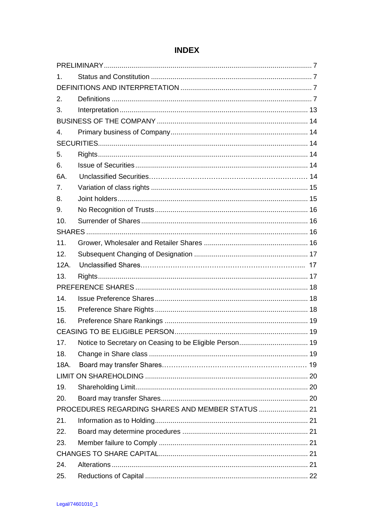| 1.   |                                                   |  |
|------|---------------------------------------------------|--|
|      |                                                   |  |
| 2.   |                                                   |  |
| 3.   |                                                   |  |
|      |                                                   |  |
| 4.   |                                                   |  |
|      |                                                   |  |
| 5.   |                                                   |  |
| 6.   |                                                   |  |
| 6A.  |                                                   |  |
| 7.   |                                                   |  |
| 8.   |                                                   |  |
| 9.   |                                                   |  |
| 10.  |                                                   |  |
|      |                                                   |  |
| 11.  |                                                   |  |
| 12.  |                                                   |  |
| 12A. |                                                   |  |
| 13.  |                                                   |  |
|      |                                                   |  |
| 14.  |                                                   |  |
| 15.  |                                                   |  |
| 16.  |                                                   |  |
|      |                                                   |  |
| 17.  |                                                   |  |
| 18.  |                                                   |  |
| 18A. |                                                   |  |
|      |                                                   |  |
| 19.  |                                                   |  |
| 20.  |                                                   |  |
|      | PROCEDURES REGARDING SHARES AND MEMBER STATUS  21 |  |
| 21.  |                                                   |  |
| 22.  |                                                   |  |
| 23.  |                                                   |  |
|      |                                                   |  |
| 24.  |                                                   |  |
| 25.  |                                                   |  |

# **INDEX**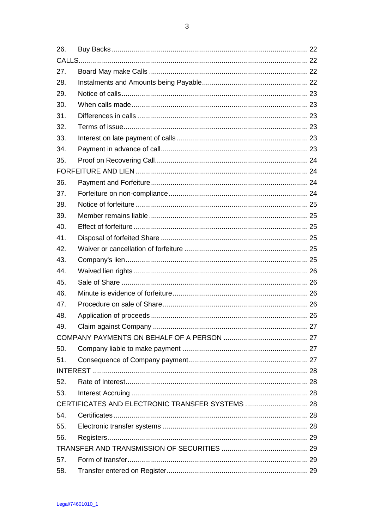$\overline{3}$ 

| 26. |  |  |  |
|-----|--|--|--|
|     |  |  |  |
| 27. |  |  |  |
| 28. |  |  |  |
| 29. |  |  |  |
| 30. |  |  |  |
| 31. |  |  |  |
| 32. |  |  |  |
| 33. |  |  |  |
| 34. |  |  |  |
| 35. |  |  |  |
|     |  |  |  |
| 36. |  |  |  |
| 37. |  |  |  |
| 38. |  |  |  |
| 39. |  |  |  |
| 40. |  |  |  |
| 41. |  |  |  |
| 42. |  |  |  |
| 43. |  |  |  |
| 44. |  |  |  |
| 45. |  |  |  |
| 46. |  |  |  |
| 47. |  |  |  |
| 48. |  |  |  |
| 49. |  |  |  |
|     |  |  |  |
| 50. |  |  |  |
| 51. |  |  |  |
|     |  |  |  |
| 52. |  |  |  |
| 53. |  |  |  |
|     |  |  |  |
| 54. |  |  |  |
| 55. |  |  |  |
| 56. |  |  |  |
|     |  |  |  |
| 57. |  |  |  |
| 58. |  |  |  |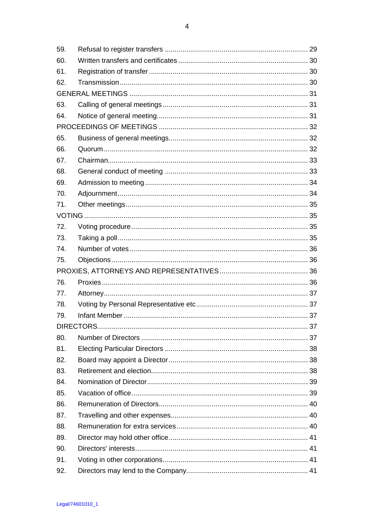| 59. |  |  |  |
|-----|--|--|--|
| 60. |  |  |  |
| 61. |  |  |  |
| 62. |  |  |  |
|     |  |  |  |
| 63. |  |  |  |
| 64. |  |  |  |
|     |  |  |  |
| 65. |  |  |  |
| 66. |  |  |  |
| 67. |  |  |  |
| 68. |  |  |  |
| 69. |  |  |  |
| 70. |  |  |  |
| 71. |  |  |  |
|     |  |  |  |
| 72. |  |  |  |
| 73. |  |  |  |
| 74. |  |  |  |
| 75. |  |  |  |
|     |  |  |  |
| 76. |  |  |  |
| 77. |  |  |  |
| 78. |  |  |  |
| 79. |  |  |  |
|     |  |  |  |
| 80. |  |  |  |
| 81. |  |  |  |
| 82. |  |  |  |
| 83. |  |  |  |
| 84. |  |  |  |
| 85. |  |  |  |
| 86. |  |  |  |
| 87. |  |  |  |
| 88. |  |  |  |
| 89. |  |  |  |
| 90. |  |  |  |
| 91. |  |  |  |
| 92. |  |  |  |
|     |  |  |  |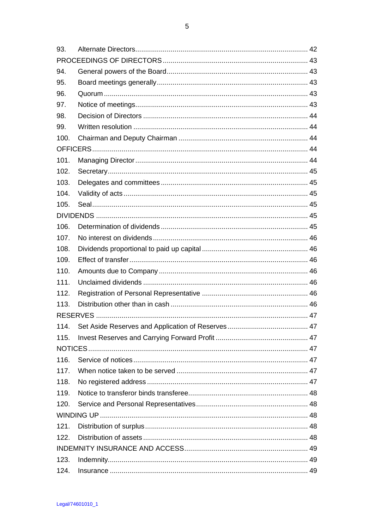| 93.  |  |    |  |  |
|------|--|----|--|--|
|      |  |    |  |  |
| 94.  |  |    |  |  |
| 95.  |  |    |  |  |
| 96.  |  |    |  |  |
| 97.  |  |    |  |  |
| 98.  |  |    |  |  |
| 99.  |  |    |  |  |
| 100. |  |    |  |  |
|      |  |    |  |  |
| 101. |  |    |  |  |
| 102. |  |    |  |  |
| 103. |  |    |  |  |
| 104. |  |    |  |  |
| 105. |  |    |  |  |
|      |  |    |  |  |
| 106. |  |    |  |  |
| 107. |  |    |  |  |
| 108. |  |    |  |  |
| 109. |  |    |  |  |
| 110. |  |    |  |  |
| 111. |  |    |  |  |
| 112. |  |    |  |  |
| 113. |  |    |  |  |
|      |  |    |  |  |
| 114. |  | 47 |  |  |
| 115. |  |    |  |  |
|      |  |    |  |  |
| 116. |  |    |  |  |
| 117. |  |    |  |  |
| 118. |  |    |  |  |
| 119. |  |    |  |  |
| 120. |  |    |  |  |
|      |  |    |  |  |
| 121. |  |    |  |  |
| 122. |  |    |  |  |
|      |  |    |  |  |
| 123. |  |    |  |  |
| 124. |  |    |  |  |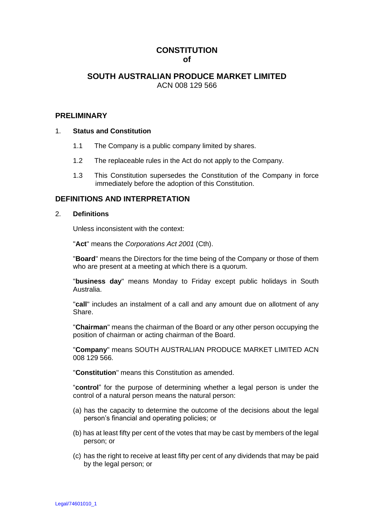# **CONSTITUTION of**

# **SOUTH AUSTRALIAN PRODUCE MARKET LIMITED** ACN 008 129 566

# **PRELIMINARY**

# 1. **Status and Constitution**

- 1.1 The Company is a public company limited by shares.
- 1.2 The replaceable rules in the Act do not apply to the Company.
- 1.3 This Constitution supersedes the Constitution of the Company in force immediately before the adoption of this Constitution.

# **DEFINITIONS AND INTERPRETATION**

# 2. **Definitions**

Unless inconsistent with the context:

"**Act**" means the *Corporations Act 2001* (Cth).

"**Board**" means the Directors for the time being of the Company or those of them who are present at a meeting at which there is a quorum.

"**business day**" means Monday to Friday except public holidays in South Australia.

"**call**" includes an instalment of a call and any amount due on allotment of any Share.

"**Chairman**" means the chairman of the Board or any other person occupying the position of chairman or acting chairman of the Board.

"**Company**" means SOUTH AUSTRALIAN PRODUCE MARKET LIMITED ACN 008 129 566.

"**Constitution**" means this Constitution as amended.

"**control**" for the purpose of determining whether a legal person is under the control of a natural person means the natural person:

- (a) has the capacity to determine the outcome of the decisions about the legal person's financial and operating policies; or
- (b) has at least fifty per cent of the votes that may be cast by members of the legal person; or
- (c) has the right to receive at least fifty per cent of any dividends that may be paid by the legal person; or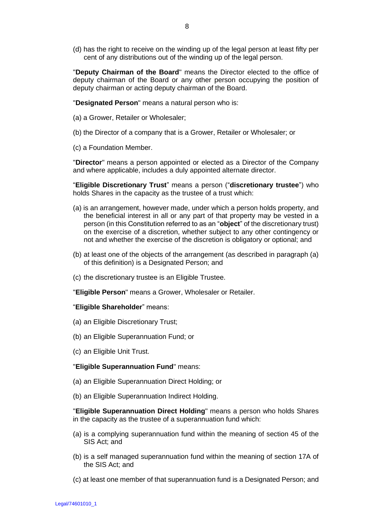(d) has the right to receive on the winding up of the legal person at least fifty per cent of any distributions out of the winding up of the legal person.

"**Deputy Chairman of the Board**" means the Director elected to the office of deputy chairman of the Board or any other person occupying the position of deputy chairman or acting deputy chairman of the Board.

"**Designated Person**" means a natural person who is:

- (a) a Grower, Retailer or Wholesaler;
- (b) the Director of a company that is a Grower, Retailer or Wholesaler; or
- (c) a Foundation Member.

"**Director**" means a person appointed or elected as a Director of the Company and where applicable, includes a duly appointed alternate director.

"**Eligible Discretionary Trust**" means a person ("**discretionary trustee**") who holds Shares in the capacity as the trustee of a trust which:

- (a) is an arrangement, however made, under which a person holds property, and the beneficial interest in all or any part of that property may be vested in a person (in this Constitution referred to as an "**object**" of the discretionary trust) on the exercise of a discretion, whether subject to any other contingency or not and whether the exercise of the discretion is obligatory or optional; and
- (b) at least one of the objects of the arrangement (as described in paragraph (a) of this definition) is a Designated Person; and
- (c) the discretionary trustee is an Eligible Trustee.

"**Eligible Person**" means a Grower, Wholesaler or Retailer.

### "**Eligible Shareholder**" means:

- (a) an Eligible Discretionary Trust;
- (b) an Eligible Superannuation Fund; or
- (c) an Eligible Unit Trust.

#### "**Eligible Superannuation Fund**" means:

- (a) an Eligible Superannuation Direct Holding; or
- (b) an Eligible Superannuation Indirect Holding.

"**Eligible Superannuation Direct Holding**" means a person who holds Shares in the capacity as the trustee of a superannuation fund which:

- (a) is a complying superannuation fund within the meaning of section 45 of the SIS Act; and
- (b) is a self managed superannuation fund within the meaning of section 17A of the SIS Act; and
- (c) at least one member of that superannuation fund is a Designated Person; and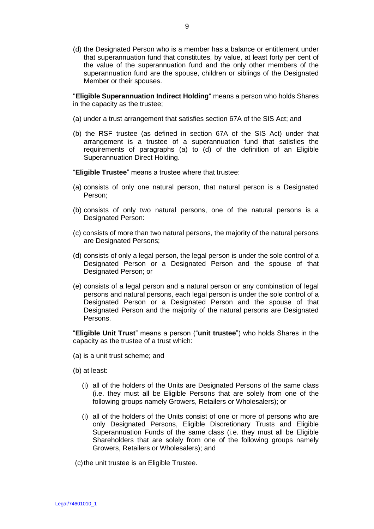(d) the Designated Person who is a member has a balance or entitlement under that superannuation fund that constitutes, by value, at least forty per cent of the value of the superannuation fund and the only other members of the superannuation fund are the spouse, children or siblings of the Designated Member or their spouses.

"**Eligible Superannuation Indirect Holding**" means a person who holds Shares in the capacity as the trustee;

- (a) under a trust arrangement that satisfies section 67A of the SIS Act; and
- (b) the RSF trustee (as defined in section 67A of the SIS Act) under that arrangement is a trustee of a superannuation fund that satisfies the requirements of paragraphs (a) to (d) of the definition of an Eligible Superannuation Direct Holding.

"**Eligible Trustee**" means a trustee where that trustee:

- (a) consists of only one natural person, that natural person is a Designated Person;
- (b) consists of only two natural persons, one of the natural persons is a Designated Person:
- (c) consists of more than two natural persons, the majority of the natural persons are Designated Persons;
- (d) consists of only a legal person, the legal person is under the sole control of a Designated Person or a Designated Person and the spouse of that Designated Person; or
- (e) consists of a legal person and a natural person or any combination of legal persons and natural persons, each legal person is under the sole control of a Designated Person or a Designated Person and the spouse of that Designated Person and the majority of the natural persons are Designated Persons.

"**Eligible Unit Trust**" means a person ("**unit trustee**") who holds Shares in the capacity as the trustee of a trust which:

- (a) is a unit trust scheme; and
- (b) at least:
	- (i) all of the holders of the Units are Designated Persons of the same class (i.e. they must all be Eligible Persons that are solely from one of the following groups namely Growers, Retailers or Wholesalers); or
	- (i) all of the holders of the Units consist of one or more of persons who are only Designated Persons, Eligible Discretionary Trusts and Eligible Superannuation Funds of the same class (i.e. they must all be Eligible Shareholders that are solely from one of the following groups namely Growers, Retailers or Wholesalers); and

(c) the unit trustee is an Eligible Trustee.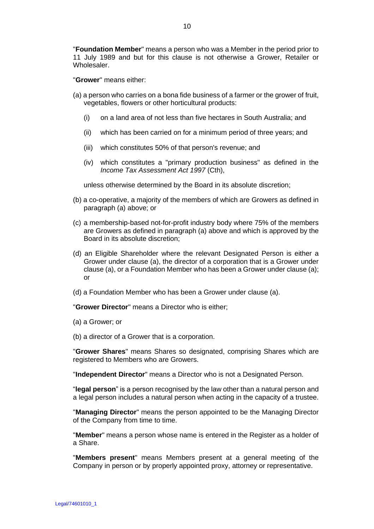"**Foundation Member**" means a person who was a Member in the period prior to 11 July 1989 and but for this clause is not otherwise a Grower, Retailer or Wholesaler.

"**Grower**" means either:

- (a) a person who carries on a bona fide business of a farmer or the grower of fruit, vegetables, flowers or other horticultural products:
	- (i) on a land area of not less than five hectares in South Australia; and
	- (ii) which has been carried on for a minimum period of three years; and
	- (iii) which constitutes 50% of that person's revenue; and
	- (iv) which constitutes a "primary production business" as defined in the *Income Tax Assessment Act 1997* (Cth),

unless otherwise determined by the Board in its absolute discretion;

- (b) a co-operative, a majority of the members of which are Growers as defined in paragraph (a) above; or
- (c) a membership-based not-for-profit industry body where 75% of the members are Growers as defined in paragraph (a) above and which is approved by the Board in its absolute discretion;
- (d) an Eligible Shareholder where the relevant Designated Person is either a Grower under clause (a), the director of a corporation that is a Grower under clause (a), or a Foundation Member who has been a Grower under clause (a); or
- (d) a Foundation Member who has been a Grower under clause (a).

"**Grower Director**" means a Director who is either;

- (a) a Grower; or
- (b) a director of a Grower that is a corporation.

"**Grower Shares**" means Shares so designated, comprising Shares which are registered to Members who are Growers.

"**Independent Director**" means a Director who is not a Designated Person.

"**legal person**" is a person recognised by the law other than a natural person and a legal person includes a natural person when acting in the capacity of a trustee.

"**Managing Director**" means the person appointed to be the Managing Director of the Company from time to time.

"**Member**" means a person whose name is entered in the Register as a holder of a Share.

"**Members present**" means Members present at a general meeting of the Company in person or by properly appointed proxy, attorney or representative.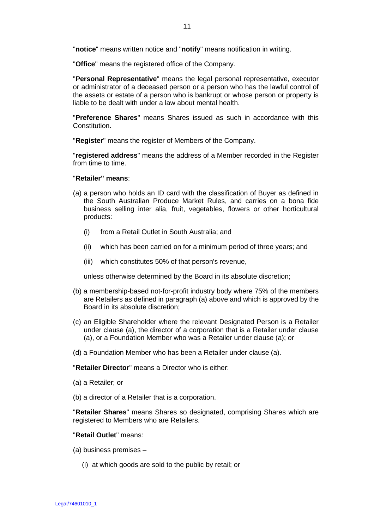"**notice**" means written notice and "**notify**" means notification in writing.

"**Office**" means the registered office of the Company.

"**Personal Representative**" means the legal personal representative, executor or administrator of a deceased person or a person who has the lawful control of the assets or estate of a person who is bankrupt or whose person or property is liable to be dealt with under a law about mental health.

"**Preference Shares**" means Shares issued as such in accordance with this Constitution.

"**Register**" means the register of Members of the Company.

"**registered address**" means the address of a Member recorded in the Register from time to time.

### "**Retailer" means**:

- (a) a person who holds an ID card with the classification of Buyer as defined in the South Australian Produce Market Rules, and carries on a bona fide business selling inter alia, fruit, vegetables, flowers or other horticultural products:
	- (i) from a Retail Outlet in South Australia; and
	- (ii) which has been carried on for a minimum period of three years; and
	- (iii) which constitutes 50% of that person's revenue,

unless otherwise determined by the Board in its absolute discretion;

- (b) a membership-based not-for-profit industry body where 75% of the members are Retailers as defined in paragraph (a) above and which is approved by the Board in its absolute discretion;
- (c) an Eligible Shareholder where the relevant Designated Person is a Retailer under clause (a), the director of a corporation that is a Retailer under clause (a), or a Foundation Member who was a Retailer under clause (a); or
- (d) a Foundation Member who has been a Retailer under clause (a).

"**Retailer Director**" means a Director who is either:

- (a) a Retailer; or
- (b) a director of a Retailer that is a corporation.

"**Retailer Shares**" means Shares so designated, comprising Shares which are registered to Members who are Retailers.

#### "**Retail Outlet**" means:

- (a) business premises
	- (i) at which goods are sold to the public by retail; or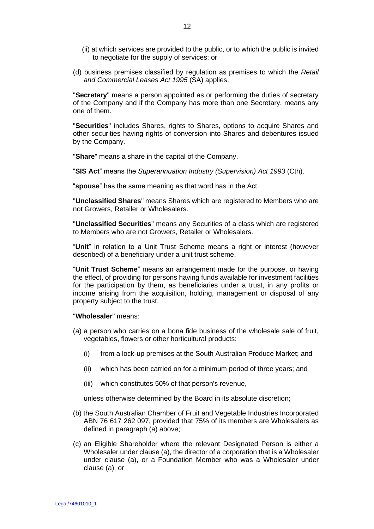- (ii) at which services are provided to the public, or to which the public is invited to negotiate for the supply of services; or
- (d) business premises classified by regulation as premises to which the *Retail and Commercial Leases Act 1995* (SA) applies.

"**Secretary**" means a person appointed as or performing the duties of secretary of the Company and if the Company has more than one Secretary, means any one of them.

"**Securities**" includes Shares, rights to Shares, options to acquire Shares and other securities having rights of conversion into Shares and debentures issued by the Company.

"**Share**" means a share in the capital of the Company.

"**SIS Act**" means the *Superannuation Industry (Supervision) Act 1993* (Cth).

"**spouse**" has the same meaning as that word has in the Act.

"**Unclassified Shares**" means Shares which are registered to Members who are not Growers, Retailer or Wholesalers.

"**Unclassified Securities**" means any Securities of a class which are registered to Members who are not Growers, Retailer or Wholesalers.

"**Unit**" in relation to a Unit Trust Scheme means a right or interest (however described) of a beneficiary under a unit trust scheme.

"**Unit Trust Scheme**" means an arrangement made for the purpose, or having the effect, of providing for persons having funds available for investment facilities for the participation by them, as beneficiaries under a trust, in any profits or income arising from the acquisition, holding, management or disposal of any property subject to the trust.

"**Wholesaler**" means:

- (a) a person who carries on a bona fide business of the wholesale sale of fruit, vegetables, flowers or other horticultural products:
	- (i) from a lock-up premises at the South Australian Produce Market; and
	- (ii) which has been carried on for a minimum period of three years; and
	- (iii) which constitutes 50% of that person's revenue,

unless otherwise determined by the Board in its absolute discretion;

- (b) the South Australian Chamber of Fruit and Vegetable Industries Incorporated ABN 76 617 262 097, provided that 75% of its members are Wholesalers as defined in paragraph (a) above;
- (c) an Eligible Shareholder where the relevant Designated Person is either a Wholesaler under clause (a), the director of a corporation that is a Wholesaler under clause (a), or a Foundation Member who was a Wholesaler under clause (a); or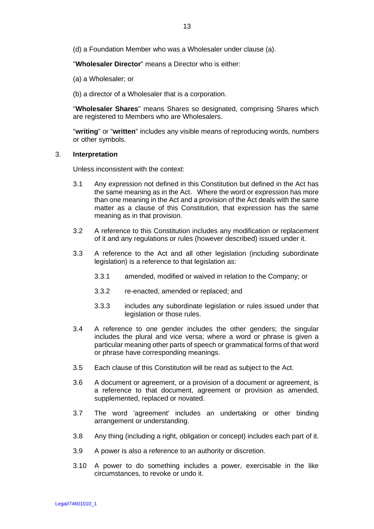(d) a Foundation Member who was a Wholesaler under clause (a).

"**Wholesaler Director**" means a Director who is either:

- (a) a Wholesaler; or
- (b) a director of a Wholesaler that is a corporation.

"**Wholesaler Shares**" means Shares so designated, comprising Shares which are registered to Members who are Wholesalers.

"**writing**" or "**written**" includes any visible means of reproducing words, numbers or other symbols.

## 3. **Interpretation**

Unless inconsistent with the context:

- 3.1 Any expression not defined in this Constitution but defined in the Act has the same meaning as in the Act. Where the word or expression has more than one meaning in the Act and a provision of the Act deals with the same matter as a clause of this Constitution, that expression has the same meaning as in that provision.
- 3.2 A reference to this Constitution includes any modification or replacement of it and any regulations or rules (however described) issued under it.
- 3.3 A reference to the Act and all other legislation (including subordinate legislation) is a reference to that legislation as:
	- 3.3.1 amended, modified or waived in relation to the Company; or
	- 3.3.2 re-enacted, amended or replaced; and
	- 3.3.3 includes any subordinate legislation or rules issued under that legislation or those rules.
- 3.4 A reference to one gender includes the other genders; the singular includes the plural and vice versa; where a word or phrase is given a particular meaning other parts of speech or grammatical forms of that word or phrase have corresponding meanings.
- 3.5 Each clause of this Constitution will be read as subject to the Act.
- 3.6 A document or agreement, or a provision of a document or agreement, is a reference to that document, agreement or provision as amended, supplemented, replaced or novated.
- 3.7 The word 'agreement' includes an undertaking or other binding arrangement or understanding.
- 3.8 Any thing (including a right, obligation or concept) includes each part of it.
- 3.9 A power is also a reference to an authority or discretion.
- 3.10 A power to do something includes a power, exercisable in the like circumstances, to revoke or undo it.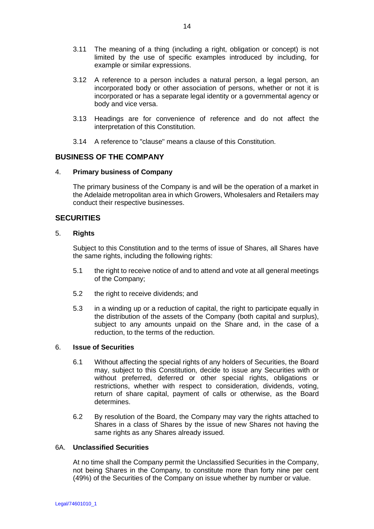- 3.11 The meaning of a thing (including a right, obligation or concept) is not limited by the use of specific examples introduced by including, for example or similar expressions.
- 3.12 A reference to a person includes a natural person, a legal person, an incorporated body or other association of persons, whether or not it is incorporated or has a separate legal identity or a governmental agency or body and vice versa.
- 3.13 Headings are for convenience of reference and do not affect the interpretation of this Constitution.
- 3.14 A reference to "clause" means a clause of this Constitution.

# **BUSINESS OF THE COMPANY**

# 4. **Primary business of Company**

The primary business of the Company is and will be the operation of a market in the Adelaide metropolitan area in which Growers, Wholesalers and Retailers may conduct their respective businesses.

# **SECURITIES**

# 5. **Rights**

Subject to this Constitution and to the terms of issue of Shares, all Shares have the same rights, including the following rights:

- 5.1 the right to receive notice of and to attend and vote at all general meetings of the Company;
- 5.2 the right to receive dividends; and
- 5.3 in a winding up or a reduction of capital, the right to participate equally in the distribution of the assets of the Company (both capital and surplus), subject to any amounts unpaid on the Share and, in the case of a reduction, to the terms of the reduction.

# 6. **Issue of Securities**

- 6.1 Without affecting the special rights of any holders of Securities, the Board may, subject to this Constitution, decide to issue any Securities with or without preferred, deferred or other special rights, obligations or restrictions, whether with respect to consideration, dividends, voting, return of share capital, payment of calls or otherwise, as the Board determines.
- 6.2 By resolution of the Board, the Company may vary the rights attached to Shares in a class of Shares by the issue of new Shares not having the same rights as any Shares already issued.

# 6A. **Unclassified Securities**

At no time shall the Company permit the Unclassified Securities in the Company, not being Shares in the Company, to constitute more than forty nine per cent (49%) of the Securities of the Company on issue whether by number or value.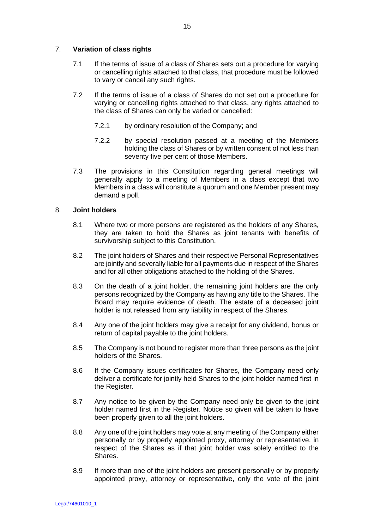# 7. **Variation of class rights**

- 7.1 If the terms of issue of a class of Shares sets out a procedure for varying or cancelling rights attached to that class, that procedure must be followed to vary or cancel any such rights.
- 7.2 If the terms of issue of a class of Shares do not set out a procedure for varying or cancelling rights attached to that class, any rights attached to the class of Shares can only be varied or cancelled:
	- 7.2.1 by ordinary resolution of the Company; and
	- 7.2.2 by special resolution passed at a meeting of the Members holding the class of Shares or by written consent of not less than seventy five per cent of those Members.
- 7.3 The provisions in this Constitution regarding general meetings will generally apply to a meeting of Members in a class except that two Members in a class will constitute a quorum and one Member present may demand a poll.

# 8. **Joint holders**

- 8.1 Where two or more persons are registered as the holders of any Shares, they are taken to hold the Shares as joint tenants with benefits of survivorship subject to this Constitution.
- 8.2 The joint holders of Shares and their respective Personal Representatives are jointly and severally liable for all payments due in respect of the Shares and for all other obligations attached to the holding of the Shares.
- 8.3 On the death of a joint holder, the remaining joint holders are the only persons recognized by the Company as having any title to the Shares. The Board may require evidence of death. The estate of a deceased joint holder is not released from any liability in respect of the Shares.
- 8.4 Any one of the joint holders may give a receipt for any dividend, bonus or return of capital payable to the joint holders.
- 8.5 The Company is not bound to register more than three persons as the joint holders of the Shares.
- 8.6 If the Company issues certificates for Shares, the Company need only deliver a certificate for jointly held Shares to the joint holder named first in the Register.
- 8.7 Any notice to be given by the Company need only be given to the joint holder named first in the Register. Notice so given will be taken to have been properly given to all the joint holders.
- 8.8 Any one of the joint holders may vote at any meeting of the Company either personally or by properly appointed proxy, attorney or representative, in respect of the Shares as if that joint holder was solely entitled to the Shares.
- 8.9 If more than one of the joint holders are present personally or by properly appointed proxy, attorney or representative, only the vote of the joint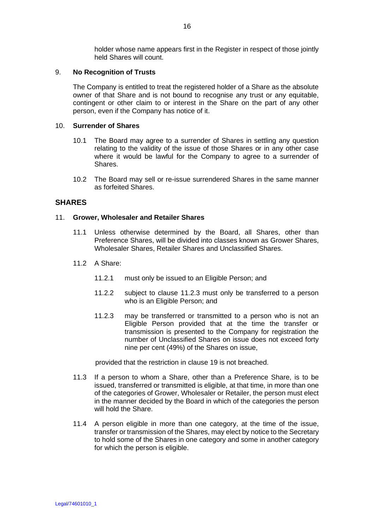holder whose name appears first in the Register in respect of those jointly held Shares will count.

# 9. **No Recognition of Trusts**

The Company is entitled to treat the registered holder of a Share as the absolute owner of that Share and is not bound to recognise any trust or any equitable, contingent or other claim to or interest in the Share on the part of any other person, even if the Company has notice of it.

#### 10. **Surrender of Shares**

- 10.1 The Board may agree to a surrender of Shares in settling any question relating to the validity of the issue of those Shares or in any other case where it would be lawful for the Company to agree to a surrender of Shares.
- 10.2 The Board may sell or re-issue surrendered Shares in the same manner as forfeited Shares.

# **SHARES**

### 11. **Grower, Wholesaler and Retailer Shares**

- 11.1 Unless otherwise determined by the Board, all Shares, other than Preference Shares, will be divided into classes known as Grower Shares, Wholesaler Shares, Retailer Shares and Unclassified Shares.
- 11.2 A Share:
	- 11.2.1 must only be issued to an Eligible Person; and
	- 11.2.2 subject to clause 11.2.3 must only be transferred to a person who is an Eligible Person; and
	- 11.2.3 may be transferred or transmitted to a person who is not an Eligible Person provided that at the time the transfer or transmission is presented to the Company for registration the number of Unclassified Shares on issue does not exceed forty nine per cent (49%) of the Shares on issue,

provided that the restriction in clause 19 is not breached.

- 11.3 If a person to whom a Share, other than a Preference Share, is to be issued, transferred or transmitted is eligible, at that time, in more than one of the categories of Grower, Wholesaler or Retailer, the person must elect in the manner decided by the Board in which of the categories the person will hold the Share.
- 11.4 A person eligible in more than one category, at the time of the issue, transfer or transmission of the Shares, may elect by notice to the Secretary to hold some of the Shares in one category and some in another category for which the person is eligible.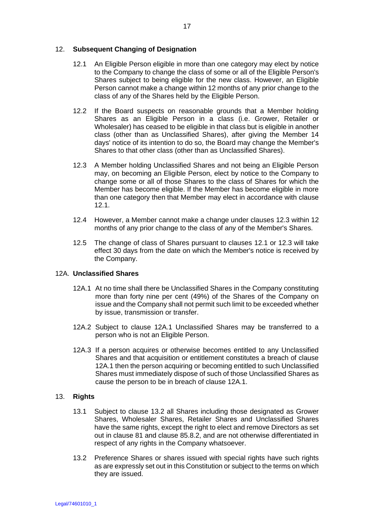# 12. **Subsequent Changing of Designation**

- 12.1 An Eligible Person eligible in more than one category may elect by notice to the Company to change the class of some or all of the Eligible Person's Shares subject to being eligible for the new class. However, an Eligible Person cannot make a change within 12 months of any prior change to the class of any of the Shares held by the Eligible Person.
- 12.2 If the Board suspects on reasonable grounds that a Member holding Shares as an Eligible Person in a class (i.e. Grower, Retailer or Wholesaler) has ceased to be eligible in that class but is eligible in another class (other than as Unclassified Shares), after giving the Member 14 days' notice of its intention to do so, the Board may change the Member's Shares to that other class (other than as Unclassified Shares).
- 12.3 A Member holding Unclassified Shares and not being an Eligible Person may, on becoming an Eligible Person, elect by notice to the Company to change some or all of those Shares to the class of Shares for which the Member has become eligible. If the Member has become eligible in more than one category then that Member may elect in accordance with clause 12.1.
- 12.4 However, a Member cannot make a change under clauses 12.3 within 12 months of any prior change to the class of any of the Member's Shares.
- 12.5 The change of class of Shares pursuant to clauses 12.1 or 12.3 will take effect 30 days from the date on which the Member's notice is received by the Company.

# 12A. **Unclassified Shares**

- 12A.1 At no time shall there be Unclassified Shares in the Company constituting more than forty nine per cent (49%) of the Shares of the Company on issue and the Company shall not permit such limit to be exceeded whether by issue, transmission or transfer.
- 12A.2 Subject to clause 12A.1 Unclassified Shares may be transferred to a person who is not an Eligible Person.
- 12A.3 If a person acquires or otherwise becomes entitled to any Unclassified Shares and that acquisition or entitlement constitutes a breach of clause 12A.1 then the person acquiring or becoming entitled to such Unclassified Shares must immediately dispose of such of those Unclassified Shares as cause the person to be in breach of clause 12A.1.

# 13. **Rights**

- 13.1 Subject to clause 13.2 all Shares including those designated as Grower Shares, Wholesaler Shares, Retailer Shares and Unclassified Shares have the same rights, except the right to elect and remove Directors as set out in clause 81 and clause 85.8.2, and are not otherwise differentiated in respect of any rights in the Company whatsoever.
- 13.2 Preference Shares or shares issued with special rights have such rights as are expressly set out in this Constitution or subject to the terms on which they are issued.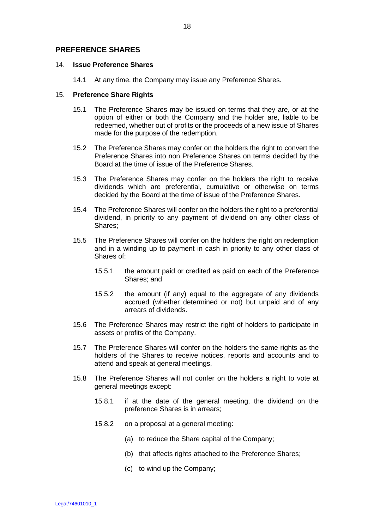# **PREFERENCE SHARES**

### 14. **Issue Preference Shares**

14.1 At any time, the Company may issue any Preference Shares.

### 15. **Preference Share Rights**

- 15.1 The Preference Shares may be issued on terms that they are, or at the option of either or both the Company and the holder are, liable to be redeemed, whether out of profits or the proceeds of a new issue of Shares made for the purpose of the redemption.
- 15.2 The Preference Shares may confer on the holders the right to convert the Preference Shares into non Preference Shares on terms decided by the Board at the time of issue of the Preference Shares.
- 15.3 The Preference Shares may confer on the holders the right to receive dividends which are preferential, cumulative or otherwise on terms decided by the Board at the time of issue of the Preference Shares.
- 15.4 The Preference Shares will confer on the holders the right to a preferential dividend, in priority to any payment of dividend on any other class of Shares;
- 15.5 The Preference Shares will confer on the holders the right on redemption and in a winding up to payment in cash in priority to any other class of Shares of:
	- 15.5.1 the amount paid or credited as paid on each of the Preference Shares; and
	- 15.5.2 the amount (if any) equal to the aggregate of any dividends accrued (whether determined or not) but unpaid and of any arrears of dividends.
- 15.6 The Preference Shares may restrict the right of holders to participate in assets or profits of the Company.
- 15.7 The Preference Shares will confer on the holders the same rights as the holders of the Shares to receive notices, reports and accounts and to attend and speak at general meetings.
- 15.8 The Preference Shares will not confer on the holders a right to vote at general meetings except:
	- 15.8.1 if at the date of the general meeting, the dividend on the preference Shares is in arrears;
	- 15.8.2 on a proposal at a general meeting:
		- (a) to reduce the Share capital of the Company;
		- (b) that affects rights attached to the Preference Shares;
		- (c) to wind up the Company;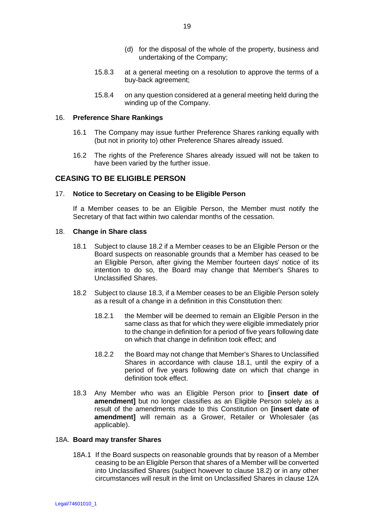- (d) for the disposal of the whole of the property, business and undertaking of the Company;
- 15.8.3 at a general meeting on a resolution to approve the terms of a buy-back agreement;
- 15.8.4 on any question considered at a general meeting held during the winding up of the Company.

### 16. **Preference Share Rankings**

- 16.1 The Company may issue further Preference Shares ranking equally with (but not in priority to) other Preference Shares already issued.
- 16.2 The rights of the Preference Shares already issued will not be taken to have been varied by the further issue.

# **CEASING TO BE ELIGIBLE PERSON**

### 17. **Notice to Secretary on Ceasing to be Eligible Person**

If a Member ceases to be an Eligible Person, the Member must notify the Secretary of that fact within two calendar months of the cessation.

### 18. **Change in Share class**

- 18.1 Subject to clause 18.2 if a Member ceases to be an Eligible Person or the Board suspects on reasonable grounds that a Member has ceased to be an Eligible Person, after giving the Member fourteen days' notice of its intention to do so, the Board may change that Member's Shares to Unclassified Shares.
- 18.2 Subject to clause 18.3, if a Member ceases to be an Eligible Person solely as a result of a change in a definition in this Constitution then:
	- 18.2.1 the Member will be deemed to remain an Eligible Person in the same class as that for which they were eligible immediately prior to the change in definition for a period of five years following date on which that change in definition took effect; and
	- 18.2.2 the Board may not change that Member's Shares to Unclassified Shares in accordance with clause 18.1, until the expiry of a period of five years following date on which that change in definition took effect.
- 18.3 Any Member who was an Eligible Person prior to **[insert date of amendment]** but no longer classifies as an Eligible Person solely as a result of the amendments made to this Constitution on **[insert date of amendment]** will remain as a Grower, Retailer or Wholesaler (as applicable).

### 18A. **Board may transfer Shares**

18A.1 If the Board suspects on reasonable grounds that by reason of a Member ceasing to be an Eligible Person that shares of a Member will be converted into Unclassified Shares (subject however to clause 18.2) or in any other circumstances will result in the limit on Unclassified Shares in clause 12A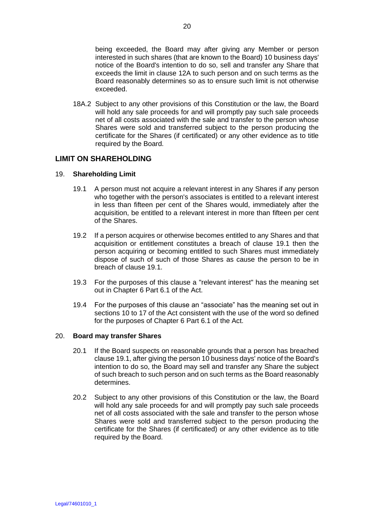being exceeded, the Board may after giving any Member or person interested in such shares (that are known to the Board) 10 business days' notice of the Board's intention to do so, sell and transfer any Share that exceeds the limit in clause 12A to such person and on such terms as the Board reasonably determines so as to ensure such limit is not otherwise exceeded.

18A.2 Subject to any other provisions of this Constitution or the law, the Board will hold any sale proceeds for and will promptly pay such sale proceeds net of all costs associated with the sale and transfer to the person whose Shares were sold and transferred subject to the person producing the certificate for the Shares (if certificated) or any other evidence as to title required by the Board.

# **LIMIT ON SHAREHOLDING**

# 19. **Shareholding Limit**

- 19.1 A person must not acquire a relevant interest in any Shares if any person who together with the person's associates is entitled to a relevant interest in less than fifteen per cent of the Shares would, immediately after the acquisition, be entitled to a relevant interest in more than fifteen per cent of the Shares.
- 19.2 If a person acquires or otherwise becomes entitled to any Shares and that acquisition or entitlement constitutes a breach of clause 19.1 then the person acquiring or becoming entitled to such Shares must immediately dispose of such of such of those Shares as cause the person to be in breach of clause 19.1.
- 19.3 For the purposes of this clause a "relevant interest" has the meaning set out in Chapter 6 Part 6.1 of the Act.
- 19.4 For the purposes of this clause an "associate" has the meaning set out in sections 10 to 17 of the Act consistent with the use of the word so defined for the purposes of Chapter 6 Part 6.1 of the Act.

# 20. **Board may transfer Shares**

- 20.1 If the Board suspects on reasonable grounds that a person has breached clause 19.1, after giving the person 10 business days' notice of the Board's intention to do so, the Board may sell and transfer any Share the subject of such breach to such person and on such terms as the Board reasonably determines.
- 20.2 Subject to any other provisions of this Constitution or the law, the Board will hold any sale proceeds for and will promptly pay such sale proceeds net of all costs associated with the sale and transfer to the person whose Shares were sold and transferred subject to the person producing the certificate for the Shares (if certificated) or any other evidence as to title required by the Board.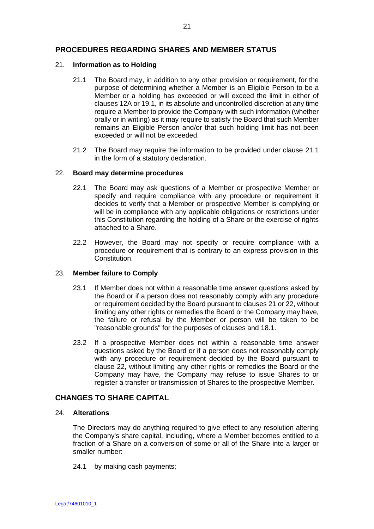# **PROCEDURES REGARDING SHARES AND MEMBER STATUS**

## 21. **Information as to Holding**

- 21.1 The Board may, in addition to any other provision or requirement, for the purpose of determining whether a Member is an Eligible Person to be a Member or a holding has exceeded or will exceed the limit in either of clauses 12A or 19.1, in its absolute and uncontrolled discretion at any time require a Member to provide the Company with such information (whether orally or in writing) as it may require to satisfy the Board that such Member remains an Eligible Person and/or that such holding limit has not been exceeded or will not be exceeded.
- 21.2 The Board may require the information to be provided under clause 21.1 in the form of a statutory declaration.

# 22. **Board may determine procedures**

- 22.1 The Board may ask questions of a Member or prospective Member or specify and require compliance with any procedure or requirement it decides to verify that a Member or prospective Member is complying or will be in compliance with any applicable obligations or restrictions under this Constitution regarding the holding of a Share or the exercise of rights attached to a Share.
- 22.2 However, the Board may not specify or require compliance with a procedure or requirement that is contrary to an express provision in this Constitution.

# 23. **Member failure to Comply**

- 23.1 If Member does not within a reasonable time answer questions asked by the Board or if a person does not reasonably comply with any procedure or requirement decided by the Board pursuant to clauses 21 or 22, without limiting any other rights or remedies the Board or the Company may have, the failure or refusal by the Member or person will be taken to be "reasonable grounds" for the purposes of clauses and 18.1.
- 23.2 If a prospective Member does not within a reasonable time answer questions asked by the Board or if a person does not reasonably comply with any procedure or requirement decided by the Board pursuant to clause 22, without limiting any other rights or remedies the Board or the Company may have, the Company may refuse to issue Shares to or register a transfer or transmission of Shares to the prospective Member.

# **CHANGES TO SHARE CAPITAL**

# 24. **Alterations**

The Directors may do anything required to give effect to any resolution altering the Company's share capital, including, where a Member becomes entitled to a fraction of a Share on a conversion of some or all of the Share into a larger or smaller number:

24.1 by making cash payments;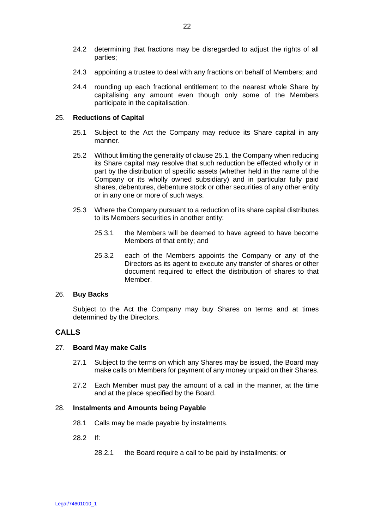- 24.2 determining that fractions may be disregarded to adjust the rights of all parties;
- 24.3 appointing a trustee to deal with any fractions on behalf of Members; and
- 24.4 rounding up each fractional entitlement to the nearest whole Share by capitalising any amount even though only some of the Members participate in the capitalisation.

# 25. **Reductions of Capital**

- 25.1 Subject to the Act the Company may reduce its Share capital in any manner.
- 25.2 Without limiting the generality of clause 25.1, the Company when reducing its Share capital may resolve that such reduction be effected wholly or in part by the distribution of specific assets (whether held in the name of the Company or its wholly owned subsidiary) and in particular fully paid shares, debentures, debenture stock or other securities of any other entity or in any one or more of such ways.
- 25.3 Where the Company pursuant to a reduction of its share capital distributes to its Members securities in another entity:
	- 25.3.1 the Members will be deemed to have agreed to have become Members of that entity; and
	- 25.3.2 each of the Members appoints the Company or any of the Directors as its agent to execute any transfer of shares or other document required to effect the distribution of shares to that Member.

# 26. **Buy Backs**

Subject to the Act the Company may buy Shares on terms and at times determined by the Directors.

# **CALLS**

# 27. **Board May make Calls**

- 27.1 Subject to the terms on which any Shares may be issued, the Board may make calls on Members for payment of any money unpaid on their Shares.
- 27.2 Each Member must pay the amount of a call in the manner, at the time and at the place specified by the Board.

#### 28. **Instalments and Amounts being Payable**

- 28.1 Calls may be made payable by instalments.
- 28.2 If:
	- 28.2.1 the Board require a call to be paid by installments; or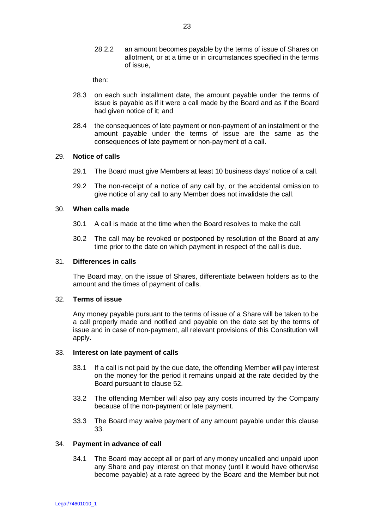28.2.2 an amount becomes payable by the terms of issue of Shares on allotment, or at a time or in circumstances specified in the terms of issue,

then:

- 28.3 on each such installment date, the amount payable under the terms of issue is payable as if it were a call made by the Board and as if the Board had given notice of it; and
- 28.4 the consequences of late payment or non-payment of an instalment or the amount payable under the terms of issue are the same as the consequences of late payment or non-payment of a call.

# 29. **Notice of calls**

- 29.1 The Board must give Members at least 10 business days' notice of a call.
- 29.2 The non-receipt of a notice of any call by, or the accidental omission to give notice of any call to any Member does not invalidate the call.

### 30. **When calls made**

- 30.1 A call is made at the time when the Board resolves to make the call.
- 30.2 The call may be revoked or postponed by resolution of the Board at any time prior to the date on which payment in respect of the call is due.

### 31. **Differences in calls**

The Board may, on the issue of Shares, differentiate between holders as to the amount and the times of payment of calls.

# 32. **Terms of issue**

Any money payable pursuant to the terms of issue of a Share will be taken to be a call properly made and notified and payable on the date set by the terms of issue and in case of non-payment, all relevant provisions of this Constitution will apply.

#### 33. **Interest on late payment of calls**

- 33.1 If a call is not paid by the due date, the offending Member will pay interest on the money for the period it remains unpaid at the rate decided by the Board pursuant to clause 52.
- 33.2 The offending Member will also pay any costs incurred by the Company because of the non-payment or late payment.
- 33.3 The Board may waive payment of any amount payable under this clause 33.

#### 34. **Payment in advance of call**

34.1 The Board may accept all or part of any money uncalled and unpaid upon any Share and pay interest on that money (until it would have otherwise become payable) at a rate agreed by the Board and the Member but not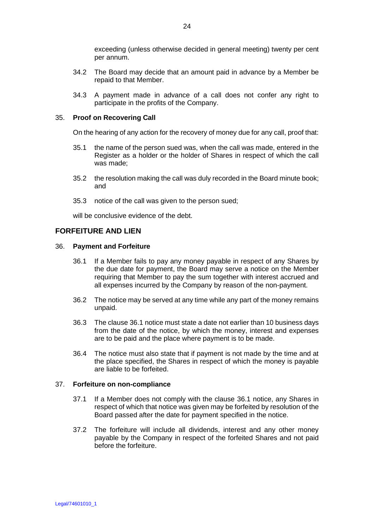exceeding (unless otherwise decided in general meeting) twenty per cent per annum.

- 34.2 The Board may decide that an amount paid in advance by a Member be repaid to that Member.
- 34.3 A payment made in advance of a call does not confer any right to participate in the profits of the Company.

# 35. **Proof on Recovering Call**

On the hearing of any action for the recovery of money due for any call, proof that:

- 35.1 the name of the person sued was, when the call was made, entered in the Register as a holder or the holder of Shares in respect of which the call was made;
- 35.2 the resolution making the call was duly recorded in the Board minute book; and
- 35.3 notice of the call was given to the person sued;

will be conclusive evidence of the debt.

# **FORFEITURE AND LIEN**

### 36. **Payment and Forfeiture**

- 36.1 If a Member fails to pay any money payable in respect of any Shares by the due date for payment, the Board may serve a notice on the Member requiring that Member to pay the sum together with interest accrued and all expenses incurred by the Company by reason of the non-payment.
- 36.2 The notice may be served at any time while any part of the money remains unpaid.
- 36.3 The clause 36.1 notice must state a date not earlier than 10 business days from the date of the notice, by which the money, interest and expenses are to be paid and the place where payment is to be made.
- 36.4 The notice must also state that if payment is not made by the time and at the place specified, the Shares in respect of which the money is payable are liable to be forfeited.

# 37. **Forfeiture on non-compliance**

- 37.1 If a Member does not comply with the clause 36.1 notice, any Shares in respect of which that notice was given may be forfeited by resolution of the Board passed after the date for payment specified in the notice.
- 37.2 The forfeiture will include all dividends, interest and any other money payable by the Company in respect of the forfeited Shares and not paid before the forfeiture.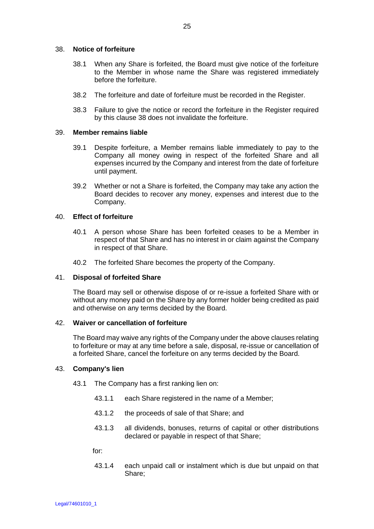### 38. **Notice of forfeiture**

- 38.1 When any Share is forfeited, the Board must give notice of the forfeiture to the Member in whose name the Share was registered immediately before the forfeiture.
- 38.2 The forfeiture and date of forfeiture must be recorded in the Register.
- 38.3 Failure to give the notice or record the forfeiture in the Register required by this clause 38 does not invalidate the forfeiture.

#### 39. **Member remains liable**

- 39.1 Despite forfeiture, a Member remains liable immediately to pay to the Company all money owing in respect of the forfeited Share and all expenses incurred by the Company and interest from the date of forfeiture until payment.
- 39.2 Whether or not a Share is forfeited, the Company may take any action the Board decides to recover any money, expenses and interest due to the Company.

### 40. **Effect of forfeiture**

- 40.1 A person whose Share has been forfeited ceases to be a Member in respect of that Share and has no interest in or claim against the Company in respect of that Share.
- 40.2 The forfeited Share becomes the property of the Company.

# 41. **Disposal of forfeited Share**

The Board may sell or otherwise dispose of or re-issue a forfeited Share with or without any money paid on the Share by any former holder being credited as paid and otherwise on any terms decided by the Board.

# 42. **Waiver or cancellation of forfeiture**

The Board may waive any rights of the Company under the above clauses relating to forfeiture or may at any time before a sale, disposal, re-issue or cancellation of a forfeited Share, cancel the forfeiture on any terms decided by the Board.

# 43. **Company's lien**

- 43.1 The Company has a first ranking lien on:
	- 43.1.1 each Share registered in the name of a Member;
	- 43.1.2 the proceeds of sale of that Share; and
	- 43.1.3 all dividends, bonuses, returns of capital or other distributions declared or payable in respect of that Share;

for:

43.1.4 each unpaid call or instalment which is due but unpaid on that Share;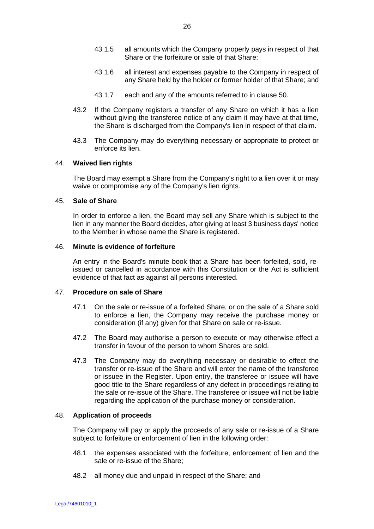- 43.1.6 all interest and expenses payable to the Company in respect of any Share held by the holder or former holder of that Share; and
- 43.1.7 each and any of the amounts referred to in clause 50.
- 43.2 If the Company registers a transfer of any Share on which it has a lien without giving the transferee notice of any claim it may have at that time, the Share is discharged from the Company's lien in respect of that claim.
- 43.3 The Company may do everything necessary or appropriate to protect or enforce its lien.

# 44. **Waived lien rights**

The Board may exempt a Share from the Company's right to a lien over it or may waive or compromise any of the Company's lien rights.

# 45. **Sale of Share**

In order to enforce a lien, the Board may sell any Share which is subject to the lien in any manner the Board decides, after giving at least 3 business days' notice to the Member in whose name the Share is registered.

# 46. **Minute is evidence of forfeiture**

An entry in the Board's minute book that a Share has been forfeited, sold, reissued or cancelled in accordance with this Constitution or the Act is sufficient evidence of that fact as against all persons interested.

# 47. **Procedure on sale of Share**

- 47.1 On the sale or re-issue of a forfeited Share, or on the sale of a Share sold to enforce a lien, the Company may receive the purchase money or consideration (if any) given for that Share on sale or re-issue.
- 47.2 The Board may authorise a person to execute or may otherwise effect a transfer in favour of the person to whom Shares are sold.
- 47.3 The Company may do everything necessary or desirable to effect the transfer or re-issue of the Share and will enter the name of the transferee or issuee in the Register. Upon entry, the transferee or issuee will have good title to the Share regardless of any defect in proceedings relating to the sale or re-issue of the Share. The transferee or issuee will not be liable regarding the application of the purchase money or consideration.

# 48. **Application of proceeds**

The Company will pay or apply the proceeds of any sale or re-issue of a Share subject to forfeiture or enforcement of lien in the following order:

- 48.1 the expenses associated with the forfeiture, enforcement of lien and the sale or re-issue of the Share;
- 48.2 all money due and unpaid in respect of the Share; and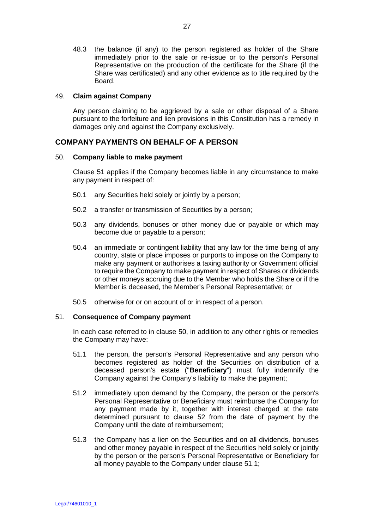48.3 the balance (if any) to the person registered as holder of the Share immediately prior to the sale or re-issue or to the person's Personal Representative on the production of the certificate for the Share (if the Share was certificated) and any other evidence as to title required by the Board.

# 49. **Claim against Company**

Any person claiming to be aggrieved by a sale or other disposal of a Share pursuant to the forfeiture and lien provisions in this Constitution has a remedy in damages only and against the Company exclusively.

# **COMPANY PAYMENTS ON BEHALF OF A PERSON**

# 50. **Company liable to make payment**

Clause 51 applies if the Company becomes liable in any circumstance to make any payment in respect of:

- 50.1 any Securities held solely or jointly by a person;
- 50.2 a transfer or transmission of Securities by a person;
- 50.3 any dividends, bonuses or other money due or payable or which may become due or payable to a person;
- 50.4 an immediate or contingent liability that any law for the time being of any country, state or place imposes or purports to impose on the Company to make any payment or authorises a taxing authority or Government official to require the Company to make payment in respect of Shares or dividends or other moneys accruing due to the Member who holds the Share or if the Member is deceased, the Member's Personal Representative; or
- 50.5 otherwise for or on account of or in respect of a person.

# 51. **Consequence of Company payment**

In each case referred to in clause 50, in addition to any other rights or remedies the Company may have:

- 51.1 the person, the person's Personal Representative and any person who becomes registered as holder of the Securities on distribution of a deceased person's estate ("**Beneficiary**") must fully indemnify the Company against the Company's liability to make the payment;
- 51.2 immediately upon demand by the Company, the person or the person's Personal Representative or Beneficiary must reimburse the Company for any payment made by it, together with interest charged at the rate determined pursuant to clause 52 from the date of payment by the Company until the date of reimbursement;
- 51.3 the Company has a lien on the Securities and on all dividends, bonuses and other money payable in respect of the Securities held solely or jointly by the person or the person's Personal Representative or Beneficiary for all money payable to the Company under clause 51.1;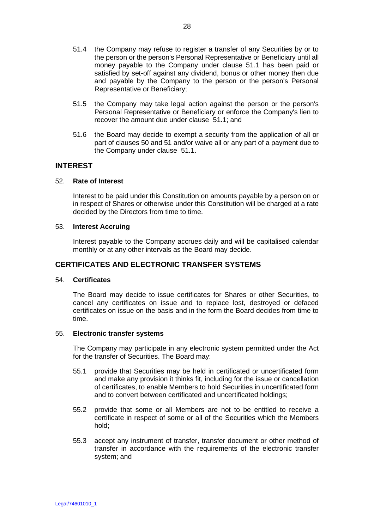- 51.4 the Company may refuse to register a transfer of any Securities by or to the person or the person's Personal Representative or Beneficiary until all money payable to the Company under clause 51.1 has been paid or satisfied by set-off against any dividend, bonus or other money then due and payable by the Company to the person or the person's Personal Representative or Beneficiary;
- 51.5 the Company may take legal action against the person or the person's Personal Representative or Beneficiary or enforce the Company's lien to recover the amount due under clause 51.1; and
- 51.6 the Board may decide to exempt a security from the application of all or part of clauses 50 and 51 and/or waive all or any part of a payment due to the Company under clause 51.1.

# **INTEREST**

### 52. **Rate of Interest**

Interest to be paid under this Constitution on amounts payable by a person on or in respect of Shares or otherwise under this Constitution will be charged at a rate decided by the Directors from time to time.

### 53. **Interest Accruing**

Interest payable to the Company accrues daily and will be capitalised calendar monthly or at any other intervals as the Board may decide.

# **CERTIFICATES AND ELECTRONIC TRANSFER SYSTEMS**

# 54. **Certificates**

The Board may decide to issue certificates for Shares or other Securities, to cancel any certificates on issue and to replace lost, destroyed or defaced certificates on issue on the basis and in the form the Board decides from time to time.

### 55. **Electronic transfer systems**

The Company may participate in any electronic system permitted under the Act for the transfer of Securities. The Board may:

- 55.1 provide that Securities may be held in certificated or uncertificated form and make any provision it thinks fit, including for the issue or cancellation of certificates, to enable Members to hold Securities in uncertificated form and to convert between certificated and uncertificated holdings;
- 55.2 provide that some or all Members are not to be entitled to receive a certificate in respect of some or all of the Securities which the Members hold;
- 55.3 accept any instrument of transfer, transfer document or other method of transfer in accordance with the requirements of the electronic transfer system; and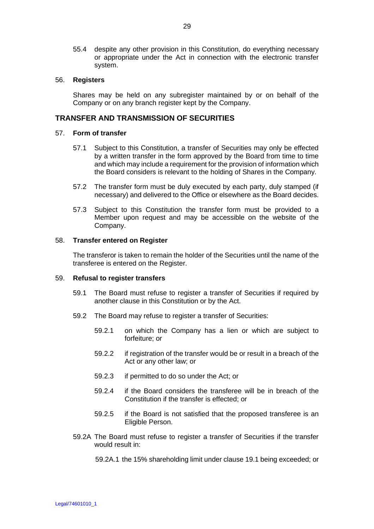55.4 despite any other provision in this Constitution, do everything necessary or appropriate under the Act in connection with the electronic transfer system.

### 56. **Registers**

Shares may be held on any subregister maintained by or on behalf of the Company or on any branch register kept by the Company.

# **TRANSFER AND TRANSMISSION OF SECURITIES**

### 57. **Form of transfer**

- 57.1 Subject to this Constitution, a transfer of Securities may only be effected by a written transfer in the form approved by the Board from time to time and which may include a requirement for the provision of information which the Board considers is relevant to the holding of Shares in the Company.
- 57.2 The transfer form must be duly executed by each party, duly stamped (if necessary) and delivered to the Office or elsewhere as the Board decides.
- 57.3 Subject to this Constitution the transfer form must be provided to a Member upon request and may be accessible on the website of the Company.

### 58. **Transfer entered on Register**

The transferor is taken to remain the holder of the Securities until the name of the transferee is entered on the Register.

### 59. **Refusal to register transfers**

- 59.1 The Board must refuse to register a transfer of Securities if required by another clause in this Constitution or by the Act.
- 59.2 The Board may refuse to register a transfer of Securities:
	- 59.2.1 on which the Company has a lien or which are subject to forfeiture; or
	- 59.2.2 if registration of the transfer would be or result in a breach of the Act or any other law; or
	- 59.2.3 if permitted to do so under the Act; or
	- 59.2.4 if the Board considers the transferee will be in breach of the Constitution if the transfer is effected; or
	- 59.2.5 if the Board is not satisfied that the proposed transferee is an Eligible Person.
- 59.2A The Board must refuse to register a transfer of Securities if the transfer would result in:

59.2A.1 the 15% shareholding limit under clause 19.1 being exceeded; or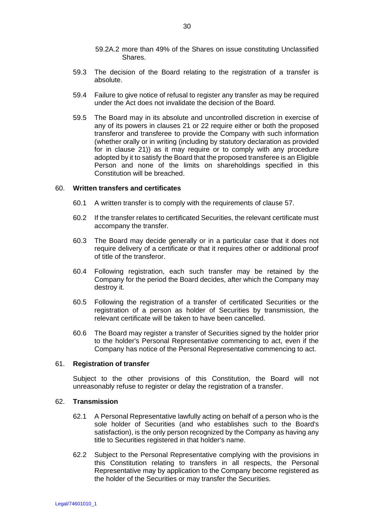- 59.2A.2 more than 49% of the Shares on issue constituting Unclassified Shares.
- 59.3 The decision of the Board relating to the registration of a transfer is absolute.
- 59.4 Failure to give notice of refusal to register any transfer as may be required under the Act does not invalidate the decision of the Board.
- 59.5 The Board may in its absolute and uncontrolled discretion in exercise of any of its powers in clauses 21 or 22 require either or both the proposed transferor and transferee to provide the Company with such information (whether orally or in writing (including by statutory declaration as provided for in clause 21)) as it may require or to comply with any procedure adopted by it to satisfy the Board that the proposed transferee is an Eligible Person and none of the limits on shareholdings specified in this Constitution will be breached.

### 60. **Written transfers and certificates**

- 60.1 A written transfer is to comply with the requirements of clause 57.
- 60.2 If the transfer relates to certificated Securities, the relevant certificate must accompany the transfer.
- 60.3 The Board may decide generally or in a particular case that it does not require delivery of a certificate or that it requires other or additional proof of title of the transferor.
- 60.4 Following registration, each such transfer may be retained by the Company for the period the Board decides, after which the Company may destroy it.
- 60.5 Following the registration of a transfer of certificated Securities or the registration of a person as holder of Securities by transmission, the relevant certificate will be taken to have been cancelled.
- 60.6 The Board may register a transfer of Securities signed by the holder prior to the holder's Personal Representative commencing to act, even if the Company has notice of the Personal Representative commencing to act.

### 61. **Registration of transfer**

Subject to the other provisions of this Constitution, the Board will not unreasonably refuse to register or delay the registration of a transfer.

#### 62. **Transmission**

- 62.1 A Personal Representative lawfully acting on behalf of a person who is the sole holder of Securities (and who establishes such to the Board's satisfaction), is the only person recognized by the Company as having any title to Securities registered in that holder's name.
- 62.2 Subject to the Personal Representative complying with the provisions in this Constitution relating to transfers in all respects, the Personal Representative may by application to the Company become registered as the holder of the Securities or may transfer the Securities.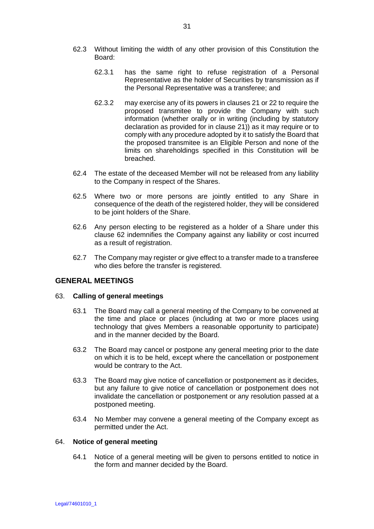- 62.3 Without limiting the width of any other provision of this Constitution the Board:
	- 62.3.1 has the same right to refuse registration of a Personal Representative as the holder of Securities by transmission as if the Personal Representative was a transferee; and
	- 62.3.2 may exercise any of its powers in clauses 21 or 22 to require the proposed transmitee to provide the Company with such information (whether orally or in writing (including by statutory declaration as provided for in clause 21)) as it may require or to comply with any procedure adopted by it to satisfy the Board that the proposed transmitee is an Eligible Person and none of the limits on shareholdings specified in this Constitution will be breached.
- 62.4 The estate of the deceased Member will not be released from any liability to the Company in respect of the Shares.
- 62.5 Where two or more persons are jointly entitled to any Share in consequence of the death of the registered holder, they will be considered to be joint holders of the Share.
- 62.6 Any person electing to be registered as a holder of a Share under this clause 62 indemnifies the Company against any liability or cost incurred as a result of registration.
- 62.7 The Company may register or give effect to a transfer made to a transferee who dies before the transfer is registered.

# **GENERAL MEETINGS**

# 63. **Calling of general meetings**

- 63.1 The Board may call a general meeting of the Company to be convened at the time and place or places (including at two or more places using technology that gives Members a reasonable opportunity to participate) and in the manner decided by the Board.
- 63.2 The Board may cancel or postpone any general meeting prior to the date on which it is to be held, except where the cancellation or postponement would be contrary to the Act.
- 63.3 The Board may give notice of cancellation or postponement as it decides, but any failure to give notice of cancellation or postponement does not invalidate the cancellation or postponement or any resolution passed at a postponed meeting.
- 63.4 No Member may convene a general meeting of the Company except as permitted under the Act.

# 64. **Notice of general meeting**

64.1 Notice of a general meeting will be given to persons entitled to notice in the form and manner decided by the Board.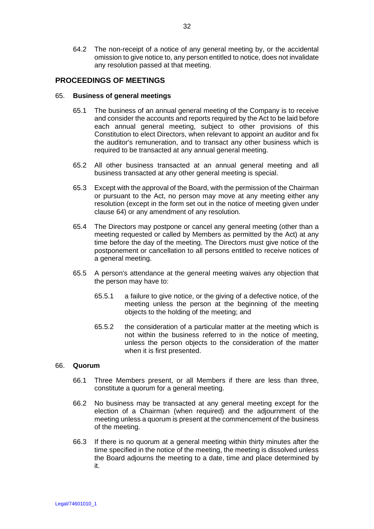64.2 The non-receipt of a notice of any general meeting by, or the accidental omission to give notice to, any person entitled to notice, does not invalidate any resolution passed at that meeting.

# **PROCEEDINGS OF MEETINGS**

### 65. **Business of general meetings**

- 65.1 The business of an annual general meeting of the Company is to receive and consider the accounts and reports required by the Act to be laid before each annual general meeting, subject to other provisions of this Constitution to elect Directors, when relevant to appoint an auditor and fix the auditor's remuneration, and to transact any other business which is required to be transacted at any annual general meeting.
- 65.2 All other business transacted at an annual general meeting and all business transacted at any other general meeting is special.
- 65.3 Except with the approval of the Board, with the permission of the Chairman or pursuant to the Act, no person may move at any meeting either any resolution (except in the form set out in the notice of meeting given under clause 64) or any amendment of any resolution.
- 65.4 The Directors may postpone or cancel any general meeting (other than a meeting requested or called by Members as permitted by the Act) at any time before the day of the meeting. The Directors must give notice of the postponement or cancellation to all persons entitled to receive notices of a general meeting.
- 65.5 A person's attendance at the general meeting waives any objection that the person may have to:
	- 65.5.1 a failure to give notice, or the giving of a defective notice, of the meeting unless the person at the beginning of the meeting objects to the holding of the meeting; and
	- 65.5.2 the consideration of a particular matter at the meeting which is not within the business referred to in the notice of meeting, unless the person objects to the consideration of the matter when it is first presented.

#### 66. **Quorum**

- 66.1 Three Members present, or all Members if there are less than three, constitute a quorum for a general meeting.
- 66.2 No business may be transacted at any general meeting except for the election of a Chairman (when required) and the adjournment of the meeting unless a quorum is present at the commencement of the business of the meeting.
- 66.3 If there is no quorum at a general meeting within thirty minutes after the time specified in the notice of the meeting, the meeting is dissolved unless the Board adjourns the meeting to a date, time and place determined by it.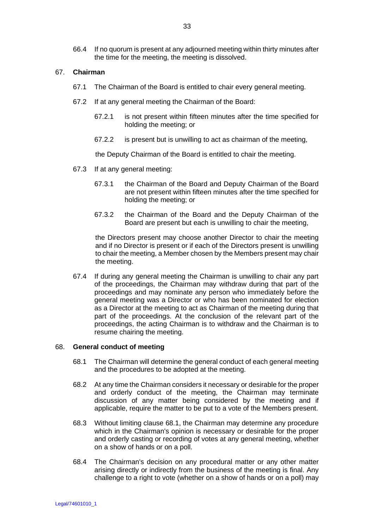66.4 If no quorum is present at any adjourned meeting within thirty minutes after the time for the meeting, the meeting is dissolved.

### 67. **Chairman**

- 67.1 The Chairman of the Board is entitled to chair every general meeting.
- 67.2 If at any general meeting the Chairman of the Board:
	- 67.2.1 is not present within fifteen minutes after the time specified for holding the meeting; or
	- 67.2.2 is present but is unwilling to act as chairman of the meeting,

the Deputy Chairman of the Board is entitled to chair the meeting.

- 67.3 If at any general meeting:
	- 67.3.1 the Chairman of the Board and Deputy Chairman of the Board are not present within fifteen minutes after the time specified for holding the meeting; or
	- 67.3.2 the Chairman of the Board and the Deputy Chairman of the Board are present but each is unwilling to chair the meeting,

the Directors present may choose another Director to chair the meeting and if no Director is present or if each of the Directors present is unwilling to chair the meeting, a Member chosen by the Members present may chair the meeting.

67.4 If during any general meeting the Chairman is unwilling to chair any part of the proceedings, the Chairman may withdraw during that part of the proceedings and may nominate any person who immediately before the general meeting was a Director or who has been nominated for election as a Director at the meeting to act as Chairman of the meeting during that part of the proceedings. At the conclusion of the relevant part of the proceedings, the acting Chairman is to withdraw and the Chairman is to resume chairing the meeting.

### 68. **General conduct of meeting**

- 68.1 The Chairman will determine the general conduct of each general meeting and the procedures to be adopted at the meeting.
- 68.2 At any time the Chairman considers it necessary or desirable for the proper and orderly conduct of the meeting, the Chairman may terminate discussion of any matter being considered by the meeting and if applicable, require the matter to be put to a vote of the Members present.
- 68.3 Without limiting clause 68.1, the Chairman may determine any procedure which in the Chairman's opinion is necessary or desirable for the proper and orderly casting or recording of votes at any general meeting, whether on a show of hands or on a poll.
- 68.4 The Chairman's decision on any procedural matter or any other matter arising directly or indirectly from the business of the meeting is final. Any challenge to a right to vote (whether on a show of hands or on a poll) may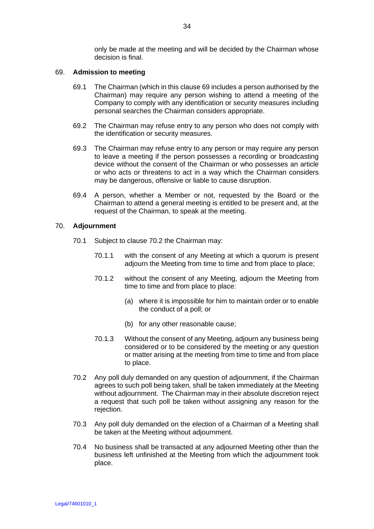only be made at the meeting and will be decided by the Chairman whose decision is final.

### 69. **Admission to meeting**

- 69.1 The Chairman (which in this clause 69 includes a person authorised by the Chairman) may require any person wishing to attend a meeting of the Company to comply with any identification or security measures including personal searches the Chairman considers appropriate.
- 69.2 The Chairman may refuse entry to any person who does not comply with the identification or security measures.
- 69.3 The Chairman may refuse entry to any person or may require any person to leave a meeting if the person possesses a recording or broadcasting device without the consent of the Chairman or who possesses an article or who acts or threatens to act in a way which the Chairman considers may be dangerous, offensive or liable to cause disruption.
- 69.4 A person, whether a Member or not, requested by the Board or the Chairman to attend a general meeting is entitled to be present and, at the request of the Chairman, to speak at the meeting.

### 70. **Adjournment**

- 70.1 Subject to clause 70.2 the Chairman may:
	- 70.1.1 with the consent of any Meeting at which a quorum is present adjourn the Meeting from time to time and from place to place;
	- 70.1.2 without the consent of any Meeting, adjourn the Meeting from time to time and from place to place:
		- (a) where it is impossible for him to maintain order or to enable the conduct of a poll; or
		- (b) for any other reasonable cause;
	- 70.1.3 Without the consent of any Meeting, adjourn any business being considered or to be considered by the meeting or any question or matter arising at the meeting from time to time and from place to place.
- 70.2 Any poll duly demanded on any question of adjournment, if the Chairman agrees to such poll being taken, shall be taken immediately at the Meeting without adjournment. The Chairman may in their absolute discretion reject a request that such poll be taken without assigning any reason for the rejection.
- 70.3 Any poll duly demanded on the election of a Chairman of a Meeting shall be taken at the Meeting without adjournment.
- 70.4 No business shall be transacted at any adjourned Meeting other than the business left unfinished at the Meeting from which the adjournment took place.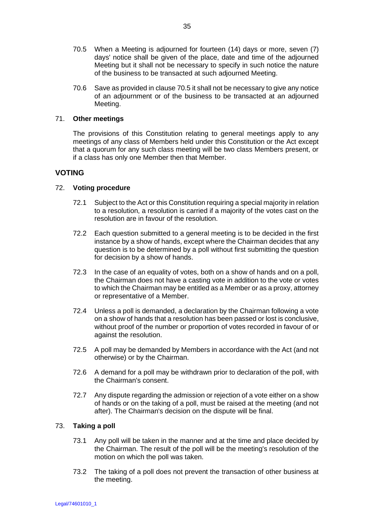- 70.5 When a Meeting is adjourned for fourteen (14) days or more, seven (7) days' notice shall be given of the place, date and time of the adjourned Meeting but it shall not be necessary to specify in such notice the nature of the business to be transacted at such adjourned Meeting.
- 70.6 Save as provided in clause 70.5 it shall not be necessary to give any notice of an adjournment or of the business to be transacted at an adjourned Meeting.

# 71. **Other meetings**

The provisions of this Constitution relating to general meetings apply to any meetings of any class of Members held under this Constitution or the Act except that a quorum for any such class meeting will be two class Members present, or if a class has only one Member then that Member.

# **VOTING**

# 72. **Voting procedure**

- 72.1 Subject to the Act or this Constitution requiring a special majority in relation to a resolution, a resolution is carried if a majority of the votes cast on the resolution are in favour of the resolution.
- 72.2 Each question submitted to a general meeting is to be decided in the first instance by a show of hands, except where the Chairman decides that any question is to be determined by a poll without first submitting the question for decision by a show of hands.
- 72.3 In the case of an equality of votes, both on a show of hands and on a poll, the Chairman does not have a casting vote in addition to the vote or votes to which the Chairman may be entitled as a Member or as a proxy, attorney or representative of a Member.
- 72.4 Unless a poll is demanded, a declaration by the Chairman following a vote on a show of hands that a resolution has been passed or lost is conclusive, without proof of the number or proportion of votes recorded in favour of or against the resolution.
- 72.5 A poll may be demanded by Members in accordance with the Act (and not otherwise) or by the Chairman.
- 72.6 A demand for a poll may be withdrawn prior to declaration of the poll, with the Chairman's consent.
- 72.7 Any dispute regarding the admission or rejection of a vote either on a show of hands or on the taking of a poll, must be raised at the meeting (and not after). The Chairman's decision on the dispute will be final.

# 73. **Taking a poll**

- 73.1 Any poll will be taken in the manner and at the time and place decided by the Chairman. The result of the poll will be the meeting's resolution of the motion on which the poll was taken.
- 73.2 The taking of a poll does not prevent the transaction of other business at the meeting.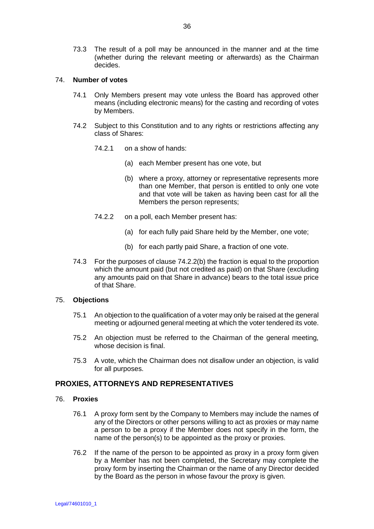73.3 The result of a poll may be announced in the manner and at the time (whether during the relevant meeting or afterwards) as the Chairman decides.

# 74. **Number of votes**

- 74.1 Only Members present may vote unless the Board has approved other means (including electronic means) for the casting and recording of votes by Members.
- 74.2 Subject to this Constitution and to any rights or restrictions affecting any class of Shares:
	- 74.2.1 on a show of hands:
		- (a) each Member present has one vote, but
		- (b) where a proxy, attorney or representative represents more than one Member, that person is entitled to only one vote and that vote will be taken as having been cast for all the Members the person represents;
	- 74.2.2 on a poll, each Member present has:
		- (a) for each fully paid Share held by the Member, one vote;
		- (b) for each partly paid Share, a fraction of one vote.
- 74.3 For the purposes of clause 74.2.2(b) the fraction is equal to the proportion which the amount paid (but not credited as paid) on that Share (excluding any amounts paid on that Share in advance) bears to the total issue price of that Share.

# 75. **Objections**

- 75.1 An objection to the qualification of a voter may only be raised at the general meeting or adjourned general meeting at which the voter tendered its vote.
- 75.2 An objection must be referred to the Chairman of the general meeting, whose decision is final.
- 75.3 A vote, which the Chairman does not disallow under an objection, is valid for all purposes.

# **PROXIES, ATTORNEYS AND REPRESENTATIVES**

# 76. **Proxies**

- 76.1 A proxy form sent by the Company to Members may include the names of any of the Directors or other persons willing to act as proxies or may name a person to be a proxy if the Member does not specify in the form, the name of the person(s) to be appointed as the proxy or proxies.
- 76.2 If the name of the person to be appointed as proxy in a proxy form given by a Member has not been completed, the Secretary may complete the proxy form by inserting the Chairman or the name of any Director decided by the Board as the person in whose favour the proxy is given.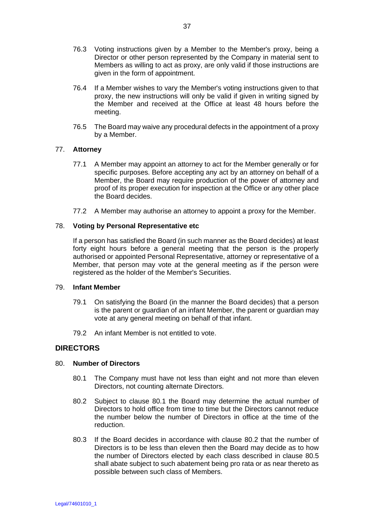- 76.3 Voting instructions given by a Member to the Member's proxy, being a Director or other person represented by the Company in material sent to Members as willing to act as proxy, are only valid if those instructions are given in the form of appointment.
- 76.4 If a Member wishes to vary the Member's voting instructions given to that proxy, the new instructions will only be valid if given in writing signed by the Member and received at the Office at least 48 hours before the meeting.
- 76.5 The Board may waive any procedural defects in the appointment of a proxy by a Member.

# 77. **Attorney**

- 77.1 A Member may appoint an attorney to act for the Member generally or for specific purposes. Before accepting any act by an attorney on behalf of a Member, the Board may require production of the power of attorney and proof of its proper execution for inspection at the Office or any other place the Board decides.
- 77.2 A Member may authorise an attorney to appoint a proxy for the Member.

# 78. **Voting by Personal Representative etc**

If a person has satisfied the Board (in such manner as the Board decides) at least forty eight hours before a general meeting that the person is the properly authorised or appointed Personal Representative, attorney or representative of a Member, that person may vote at the general meeting as if the person were registered as the holder of the Member's Securities.

# 79. **Infant Member**

- 79.1 On satisfying the Board (in the manner the Board decides) that a person is the parent or guardian of an infant Member, the parent or guardian may vote at any general meeting on behalf of that infant.
- 79.2 An infant Member is not entitled to vote.

# **DIRECTORS**

# 80. **Number of Directors**

- 80.1 The Company must have not less than eight and not more than eleven Directors, not counting alternate Directors.
- 80.2 Subject to clause 80.1 the Board may determine the actual number of Directors to hold office from time to time but the Directors cannot reduce the number below the number of Directors in office at the time of the reduction.
- 80.3 If the Board decides in accordance with clause 80.2 that the number of Directors is to be less than eleven then the Board may decide as to how the number of Directors elected by each class described in clause 80.5 shall abate subject to such abatement being pro rata or as near thereto as possible between such class of Members.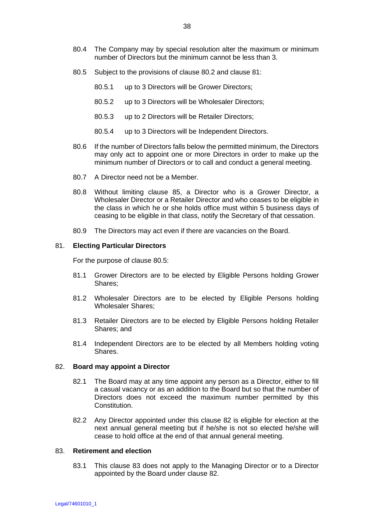- 80.4 The Company may by special resolution alter the maximum or minimum number of Directors but the minimum cannot be less than 3.
- 80.5 Subject to the provisions of clause 80.2 and clause 81:
	- 80.5.1 up to 3 Directors will be Grower Directors;
	- 80.5.2 up to 3 Directors will be Wholesaler Directors;
	- 80.5.3 up to 2 Directors will be Retailer Directors;
	- 80.5.4 up to 3 Directors will be Independent Directors.
- 80.6 If the number of Directors falls below the permitted minimum, the Directors may only act to appoint one or more Directors in order to make up the minimum number of Directors or to call and conduct a general meeting.
- 80.7 A Director need not be a Member.
- 80.8 Without limiting clause 85, a Director who is a Grower Director, a Wholesaler Director or a Retailer Director and who ceases to be eligible in the class in which he or she holds office must within 5 business days of ceasing to be eligible in that class, notify the Secretary of that cessation.
- 80.9 The Directors may act even if there are vacancies on the Board.

### 81. **Electing Particular Directors**

For the purpose of clause 80.5:

- 81.1 Grower Directors are to be elected by Eligible Persons holding Grower Shares;
- 81.2 Wholesaler Directors are to be elected by Eligible Persons holding Wholesaler Shares;
- 81.3 Retailer Directors are to be elected by Eligible Persons holding Retailer Shares; and
- 81.4 Independent Directors are to be elected by all Members holding voting Shares.

#### 82. **Board may appoint a Director**

- 82.1 The Board may at any time appoint any person as a Director, either to fill a casual vacancy or as an addition to the Board but so that the number of Directors does not exceed the maximum number permitted by this Constitution.
- 82.2 Any Director appointed under this clause 82 is eligible for election at the next annual general meeting but if he/she is not so elected he/she will cease to hold office at the end of that annual general meeting.

# 83. **Retirement and election**

83.1 This clause 83 does not apply to the Managing Director or to a Director appointed by the Board under clause 82.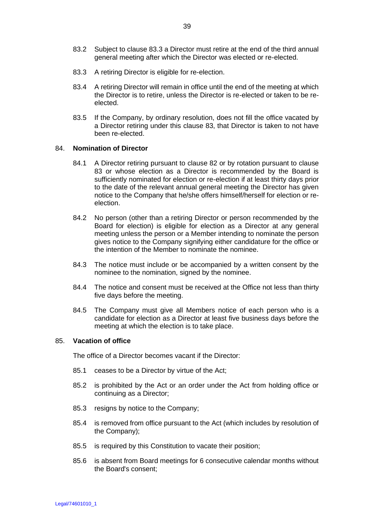- 83.2 Subject to clause 83.3 a Director must retire at the end of the third annual general meeting after which the Director was elected or re-elected.
- 83.3 A retiring Director is eligible for re-election.
- 83.4 A retiring Director will remain in office until the end of the meeting at which the Director is to retire, unless the Director is re-elected or taken to be reelected.
- 83.5 If the Company, by ordinary resolution, does not fill the office vacated by a Director retiring under this clause 83, that Director is taken to not have been re-elected.

### 84. **Nomination of Director**

- 84.1 A Director retiring pursuant to clause 82 or by rotation pursuant to clause 83 or whose election as a Director is recommended by the Board is sufficiently nominated for election or re-election if at least thirty days prior to the date of the relevant annual general meeting the Director has given notice to the Company that he/she offers himself/herself for election or reelection.
- 84.2 No person (other than a retiring Director or person recommended by the Board for election) is eligible for election as a Director at any general meeting unless the person or a Member intending to nominate the person gives notice to the Company signifying either candidature for the office or the intention of the Member to nominate the nominee.
- 84.3 The notice must include or be accompanied by a written consent by the nominee to the nomination, signed by the nominee.
- 84.4 The notice and consent must be received at the Office not less than thirty five days before the meeting.
- 84.5 The Company must give all Members notice of each person who is a candidate for election as a Director at least five business days before the meeting at which the election is to take place.

# 85. **Vacation of office**

The office of a Director becomes vacant if the Director:

- 85.1 ceases to be a Director by virtue of the Act;
- 85.2 is prohibited by the Act or an order under the Act from holding office or continuing as a Director;
- 85.3 resigns by notice to the Company;
- 85.4 is removed from office pursuant to the Act (which includes by resolution of the Company);
- 85.5 is required by this Constitution to vacate their position;
- 85.6 is absent from Board meetings for 6 consecutive calendar months without the Board's consent;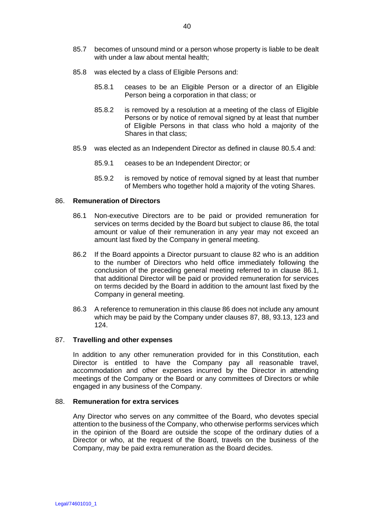- 85.8 was elected by a class of Eligible Persons and:
	- 85.8.1 ceases to be an Eligible Person or a director of an Eligible Person being a corporation in that class; or
	- 85.8.2 is removed by a resolution at a meeting of the class of Eligible Persons or by notice of removal signed by at least that number of Eligible Persons in that class who hold a majority of the Shares in that class;
- 85.9 was elected as an Independent Director as defined in clause 80.5.4 and:
	- 85.9.1 ceases to be an Independent Director; or
	- 85.9.2 is removed by notice of removal signed by at least that number of Members who together hold a majority of the voting Shares.

# 86. **Remuneration of Directors**

- 86.1 Non-executive Directors are to be paid or provided remuneration for services on terms decided by the Board but subject to clause 86, the total amount or value of their remuneration in any year may not exceed an amount last fixed by the Company in general meeting.
- 86.2 If the Board appoints a Director pursuant to clause 82 who is an addition to the number of Directors who held office immediately following the conclusion of the preceding general meeting referred to in clause 86.1, that additional Director will be paid or provided remuneration for services on terms decided by the Board in addition to the amount last fixed by the Company in general meeting.
- 86.3 A reference to remuneration in this clause 86 does not include any amount which may be paid by the Company under clauses 87, 88, 93.13, 123 and 124.

# 87. **Travelling and other expenses**

In addition to any other remuneration provided for in this Constitution, each Director is entitled to have the Company pay all reasonable travel, accommodation and other expenses incurred by the Director in attending meetings of the Company or the Board or any committees of Directors or while engaged in any business of the Company.

# 88. **Remuneration for extra services**

Any Director who serves on any committee of the Board, who devotes special attention to the business of the Company, who otherwise performs services which in the opinion of the Board are outside the scope of the ordinary duties of a Director or who, at the request of the Board, travels on the business of the Company, may be paid extra remuneration as the Board decides.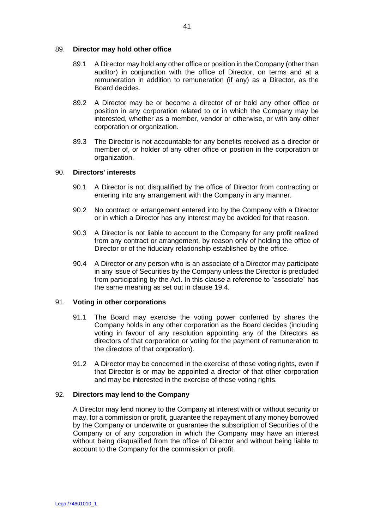# 89. **Director may hold other office**

- 89.1 A Director may hold any other office or position in the Company (other than auditor) in conjunction with the office of Director, on terms and at a remuneration in addition to remuneration (if any) as a Director, as the Board decides.
- 89.2 A Director may be or become a director of or hold any other office or position in any corporation related to or in which the Company may be interested, whether as a member, vendor or otherwise, or with any other corporation or organization.
- 89.3 The Director is not accountable for any benefits received as a director or member of, or holder of any other office or position in the corporation or organization.

# 90. **Directors' interests**

- 90.1 A Director is not disqualified by the office of Director from contracting or entering into any arrangement with the Company in any manner.
- 90.2 No contract or arrangement entered into by the Company with a Director or in which a Director has any interest may be avoided for that reason.
- 90.3 A Director is not liable to account to the Company for any profit realized from any contract or arrangement, by reason only of holding the office of Director or of the fiduciary relationship established by the office.
- 90.4 A Director or any person who is an associate of a Director may participate in any issue of Securities by the Company unless the Director is precluded from participating by the Act. In this clause a reference to "associate" has the same meaning as set out in clause 19.4.

# 91. **Voting in other corporations**

- 91.1 The Board may exercise the voting power conferred by shares the Company holds in any other corporation as the Board decides (including voting in favour of any resolution appointing any of the Directors as directors of that corporation or voting for the payment of remuneration to the directors of that corporation).
- 91.2 A Director may be concerned in the exercise of those voting rights, even if that Director is or may be appointed a director of that other corporation and may be interested in the exercise of those voting rights.

# 92. **Directors may lend to the Company**

A Director may lend money to the Company at interest with or without security or may, for a commission or profit, guarantee the repayment of any money borrowed by the Company or underwrite or guarantee the subscription of Securities of the Company or of any corporation in which the Company may have an interest without being disqualified from the office of Director and without being liable to account to the Company for the commission or profit.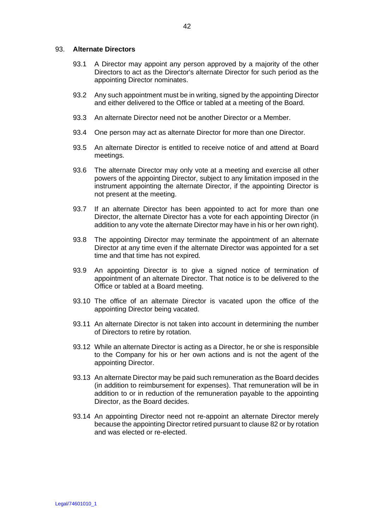### 93. **Alternate Directors**

- 93.1 A Director may appoint any person approved by a majority of the other Directors to act as the Director's alternate Director for such period as the appointing Director nominates.
- 93.2 Any such appointment must be in writing, signed by the appointing Director and either delivered to the Office or tabled at a meeting of the Board.
- 93.3 An alternate Director need not be another Director or a Member.
- 93.4 One person may act as alternate Director for more than one Director.
- 93.5 An alternate Director is entitled to receive notice of and attend at Board meetings.
- 93.6 The alternate Director may only vote at a meeting and exercise all other powers of the appointing Director, subject to any limitation imposed in the instrument appointing the alternate Director, if the appointing Director is not present at the meeting.
- 93.7 If an alternate Director has been appointed to act for more than one Director, the alternate Director has a vote for each appointing Director (in addition to any vote the alternate Director may have in his or her own right).
- 93.8 The appointing Director may terminate the appointment of an alternate Director at any time even if the alternate Director was appointed for a set time and that time has not expired.
- 93.9 An appointing Director is to give a signed notice of termination of appointment of an alternate Director. That notice is to be delivered to the Office or tabled at a Board meeting.
- 93.10 The office of an alternate Director is vacated upon the office of the appointing Director being vacated.
- 93.11 An alternate Director is not taken into account in determining the number of Directors to retire by rotation.
- 93.12 While an alternate Director is acting as a Director, he or she is responsible to the Company for his or her own actions and is not the agent of the appointing Director.
- 93.13 An alternate Director may be paid such remuneration as the Board decides (in addition to reimbursement for expenses). That remuneration will be in addition to or in reduction of the remuneration payable to the appointing Director, as the Board decides.
- 93.14 An appointing Director need not re-appoint an alternate Director merely because the appointing Director retired pursuant to clause 82 or by rotation and was elected or re-elected.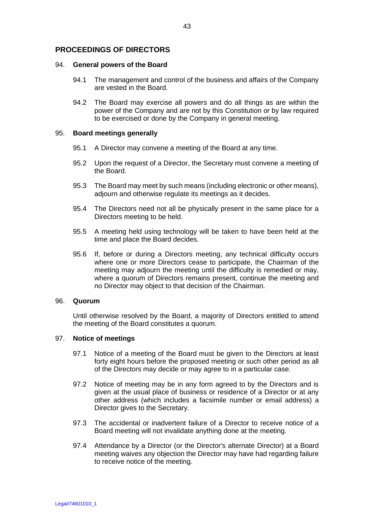# **PROCEEDINGS OF DIRECTORS**

### 94. **General powers of the Board**

- 94.1 The management and control of the business and affairs of the Company are vested in the Board.
- 94.2 The Board may exercise all powers and do all things as are within the power of the Company and are not by this Constitution or by law required to be exercised or done by the Company in general meeting.

### 95. **Board meetings generally**

- 95.1 A Director may convene a meeting of the Board at any time.
- 95.2 Upon the request of a Director, the Secretary must convene a meeting of the Board.
- 95.3 The Board may meet by such means (including electronic or other means), adjourn and otherwise regulate its meetings as it decides.
- 95.4 The Directors need not all be physically present in the same place for a Directors meeting to be held.
- 95.5 A meeting held using technology will be taken to have been held at the time and place the Board decides.
- 95.6 If, before or during a Directors meeting, any technical difficulty occurs where one or more Directors cease to participate, the Chairman of the meeting may adjourn the meeting until the difficulty is remedied or may, where a quorum of Directors remains present, continue the meeting and no Director may object to that decision of the Chairman.

#### 96. **Quorum**

Until otherwise resolved by the Board, a majority of Directors entitled to attend the meeting of the Board constitutes a quorum.

# 97. **Notice of meetings**

- 97.1 Notice of a meeting of the Board must be given to the Directors at least forty eight hours before the proposed meeting or such other period as all of the Directors may decide or may agree to in a particular case.
- 97.2 Notice of meeting may be in any form agreed to by the Directors and is given at the usual place of business or residence of a Director or at any other address (which includes a facsimile number or email address) a Director gives to the Secretary.
- 97.3 The accidental or inadvertent failure of a Director to receive notice of a Board meeting will not invalidate anything done at the meeting.
- 97.4 Attendance by a Director (or the Director's alternate Director) at a Board meeting waives any objection the Director may have had regarding failure to receive notice of the meeting.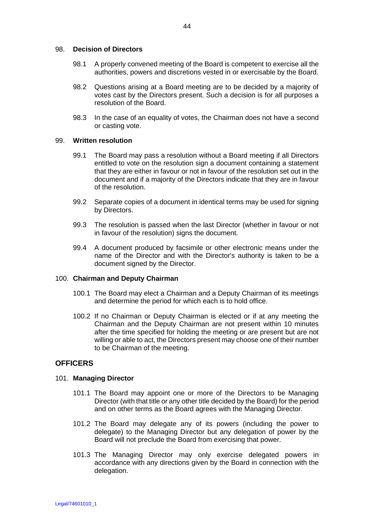### 98. **Decision of Directors**

- 98.1 A properly convened meeting of the Board is competent to exercise all the authorities, powers and discretions vested in or exercisable by the Board.
- 98.2 Questions arising at a Board meeting are to be decided by a majority of votes cast by the Directors present. Such a decision is for all purposes a resolution of the Board.
- 98.3 In the case of an equality of votes, the Chairman does not have a second or casting vote.

### 99. **Written resolution**

- 99.1 The Board may pass a resolution without a Board meeting if all Directors entitled to vote on the resolution sign a document containing a statement that they are either in favour or not in favour of the resolution set out in the document and if a majority of the Directors indicate that they are in favour of the resolution.
- 99.2 Separate copies of a document in identical terms may be used for signing by Directors.
- 99.3 The resolution is passed when the last Director (whether in favour or not in favour of the resolution) signs the document.
- 99.4 A document produced by facsimile or other electronic means under the name of the Director and with the Director's authority is taken to be a document signed by the Director.

# 100. **Chairman and Deputy Chairman**

- 100.1 The Board may elect a Chairman and a Deputy Chairman of its meetings and determine the period for which each is to hold office.
- 100.2 If no Chairman or Deputy Chairman is elected or if at any meeting the Chairman and the Deputy Chairman are not present within 10 minutes after the time specified for holding the meeting or are present but are not willing or able to act, the Directors present may choose one of their number to be Chairman of the meeting.

# **OFFICERS**

# 101. **Managing Director**

- 101.1 The Board may appoint one or more of the Directors to be Managing Director (with that title or any other title decided by the Board) for the period and on other terms as the Board agrees with the Managing Director.
- 101.2 The Board may delegate any of its powers (including the power to delegate) to the Managing Director but any delegation of power by the Board will not preclude the Board from exercising that power.
- 101.3 The Managing Director may only exercise delegated powers in accordance with any directions given by the Board in connection with the delegation.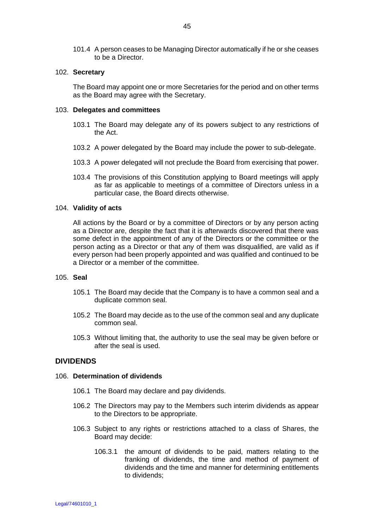101.4 A person ceases to be Managing Director automatically if he or she ceases to be a Director.

### 102. **Secretary**

The Board may appoint one or more Secretaries for the period and on other terms as the Board may agree with the Secretary.

### 103. **Delegates and committees**

- 103.1 The Board may delegate any of its powers subject to any restrictions of the Act.
- 103.2 A power delegated by the Board may include the power to sub-delegate.
- 103.3 A power delegated will not preclude the Board from exercising that power.
- 103.4 The provisions of this Constitution applying to Board meetings will apply as far as applicable to meetings of a committee of Directors unless in a particular case, the Board directs otherwise.

### 104. **Validity of acts**

All actions by the Board or by a committee of Directors or by any person acting as a Director are, despite the fact that it is afterwards discovered that there was some defect in the appointment of any of the Directors or the committee or the person acting as a Director or that any of them was disqualified, are valid as if every person had been properly appointed and was qualified and continued to be a Director or a member of the committee.

### 105. **Seal**

- 105.1 The Board may decide that the Company is to have a common seal and a duplicate common seal.
- 105.2 The Board may decide as to the use of the common seal and any duplicate common seal.
- 105.3 Without limiting that, the authority to use the seal may be given before or after the seal is used.

# **DIVIDENDS**

### 106. **Determination of dividends**

- 106.1 The Board may declare and pay dividends.
- 106.2 The Directors may pay to the Members such interim dividends as appear to the Directors to be appropriate.
- 106.3 Subject to any rights or restrictions attached to a class of Shares, the Board may decide:
	- 106.3.1 the amount of dividends to be paid, matters relating to the franking of dividends, the time and method of payment of dividends and the time and manner for determining entitlements to dividends;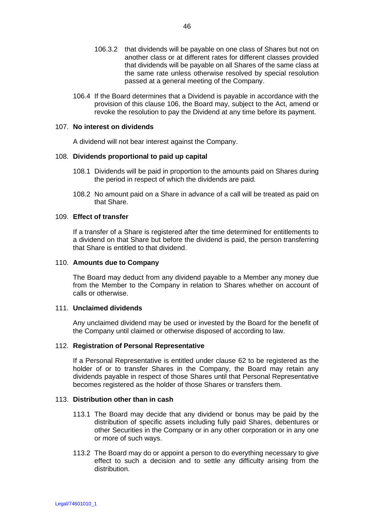- 106.3.2 that dividends will be payable on one class of Shares but not on another class or at different rates for different classes provided that dividends will be payable on all Shares of the same class at the same rate unless otherwise resolved by special resolution passed at a general meeting of the Company.
- 106.4 If the Board determines that a Dividend is payable in accordance with the provision of this clause 106, the Board may, subject to the Act, amend or revoke the resolution to pay the Dividend at any time before its payment.

### 107. **No interest on dividends**

A dividend will not bear interest against the Company.

### 108. **Dividends proportional to paid up capital**

- 108.1 Dividends will be paid in proportion to the amounts paid on Shares during the period in respect of which the dividends are paid.
- 108.2 No amount paid on a Share in advance of a call will be treated as paid on that Share.

### 109. **Effect of transfer**

If a transfer of a Share is registered after the time determined for entitlements to a dividend on that Share but before the dividend is paid, the person transferring that Share is entitled to that dividend.

### 110. **Amounts due to Company**

The Board may deduct from any dividend payable to a Member any money due from the Member to the Company in relation to Shares whether on account of calls or otherwise.

# 111. **Unclaimed dividends**

Any unclaimed dividend may be used or invested by the Board for the benefit of the Company until claimed or otherwise disposed of according to law.

#### 112. **Registration of Personal Representative**

If a Personal Representative is entitled under clause 62 to be registered as the holder of or to transfer Shares in the Company, the Board may retain any dividends payable in respect of those Shares until that Personal Representative becomes registered as the holder of those Shares or transfers them.

#### 113. **Distribution other than in cash**

- 113.1 The Board may decide that any dividend or bonus may be paid by the distribution of specific assets including fully paid Shares, debentures or other Securities in the Company or in any other corporation or in any one or more of such ways.
- 113.2 The Board may do or appoint a person to do everything necessary to give effect to such a decision and to settle any difficulty arising from the distribution.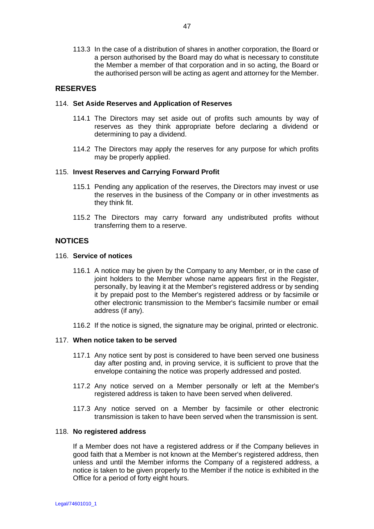113.3 In the case of a distribution of shares in another corporation, the Board or a person authorised by the Board may do what is necessary to constitute the Member a member of that corporation and in so acting, the Board or the authorised person will be acting as agent and attorney for the Member.

# **RESERVES**

# 114. **Set Aside Reserves and Application of Reserves**

- 114.1 The Directors may set aside out of profits such amounts by way of reserves as they think appropriate before declaring a dividend or determining to pay a dividend.
- 114.2 The Directors may apply the reserves for any purpose for which profits may be properly applied.

### 115. **Invest Reserves and Carrying Forward Profit**

- 115.1 Pending any application of the reserves, the Directors may invest or use the reserves in the business of the Company or in other investments as they think fit.
- 115.2 The Directors may carry forward any undistributed profits without transferring them to a reserve.

# **NOTICES**

### 116. **Service of notices**

- 116.1 A notice may be given by the Company to any Member, or in the case of joint holders to the Member whose name appears first in the Register, personally, by leaving it at the Member's registered address or by sending it by prepaid post to the Member's registered address or by facsimile or other electronic transmission to the Member's facsimile number or email address (if any).
- 116.2 If the notice is signed, the signature may be original, printed or electronic.

### 117. **When notice taken to be served**

- 117.1 Any notice sent by post is considered to have been served one business day after posting and, in proving service, it is sufficient to prove that the envelope containing the notice was properly addressed and posted.
- 117.2 Any notice served on a Member personally or left at the Member's registered address is taken to have been served when delivered.
- 117.3 Any notice served on a Member by facsimile or other electronic transmission is taken to have been served when the transmission is sent.

#### 118. **No registered address**

If a Member does not have a registered address or if the Company believes in good faith that a Member is not known at the Member's registered address, then unless and until the Member informs the Company of a registered address, a notice is taken to be given properly to the Member if the notice is exhibited in the Office for a period of forty eight hours.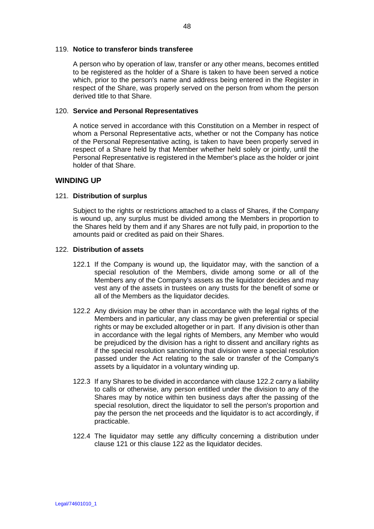### 119. **Notice to transferor binds transferee**

A person who by operation of law, transfer or any other means, becomes entitled to be registered as the holder of a Share is taken to have been served a notice which, prior to the person's name and address being entered in the Register in respect of the Share, was properly served on the person from whom the person derived title to that Share.

### 120. **Service and Personal Representatives**

A notice served in accordance with this Constitution on a Member in respect of whom a Personal Representative acts, whether or not the Company has notice of the Personal Representative acting, is taken to have been properly served in respect of a Share held by that Member whether held solely or jointly, until the Personal Representative is registered in the Member's place as the holder or joint holder of that Share.

# **WINDING UP**

# 121. **Distribution of surplus**

Subject to the rights or restrictions attached to a class of Shares, if the Company is wound up, any surplus must be divided among the Members in proportion to the Shares held by them and if any Shares are not fully paid, in proportion to the amounts paid or credited as paid on their Shares.

### 122. **Distribution of assets**

- 122.1 If the Company is wound up, the liquidator may, with the sanction of a special resolution of the Members, divide among some or all of the Members any of the Company's assets as the liquidator decides and may vest any of the assets in trustees on any trusts for the benefit of some or all of the Members as the liquidator decides.
- 122.2 Any division may be other than in accordance with the legal rights of the Members and in particular, any class may be given preferential or special rights or may be excluded altogether or in part. If any division is other than in accordance with the legal rights of Members, any Member who would be prejudiced by the division has a right to dissent and ancillary rights as if the special resolution sanctioning that division were a special resolution passed under the Act relating to the sale or transfer of the Company's assets by a liquidator in a voluntary winding up.
- 122.3 If any Shares to be divided in accordance with clause 122.2 carry a liability to calls or otherwise, any person entitled under the division to any of the Shares may by notice within ten business days after the passing of the special resolution, direct the liquidator to sell the person's proportion and pay the person the net proceeds and the liquidator is to act accordingly, if practicable.
- 122.4 The liquidator may settle any difficulty concerning a distribution under clause 121 or this clause 122 as the liquidator decides.